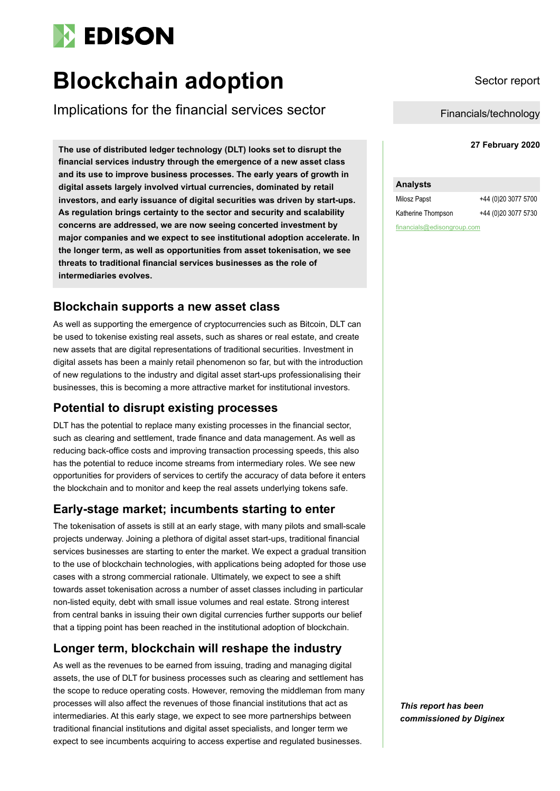

# **Blockchain adoption** Sector report

Implications for the financial services sector

**<sup>27</sup> February 2020 The use of distributed ledger technology (DLT) looks set to disrupt the financial services industry through the emergence of a new asset class and its use to improve business processes. The early years of growth in digital assets largely involved virtual currencies, dominated by retail investors, and early issuance of digital securities was driven by start-ups. As regulation brings certainty to the sector and security and scalability concerns are addressed, we are now seeing concerted investment by major companies and we expect to see institutional adoption accelerate. In the longer term, as well as opportunities from asset tokenisation, we see threats to traditional financial services businesses as the role of intermediaries evolves.**

# **Blockchain supports a new asset class**

As well as supporting the emergence of cryptocurrencies such as Bitcoin, DLT can be used to tokenise existing real assets, such as shares or real estate, and create new assets that are digital representations of traditional securities. Investment in digital assets has been a mainly retail phenomenon so far, but with the introduction of new regulations to the industry and digital asset start-ups professionalising their businesses, this is becoming a more attractive market for institutional investors.

# **Potential to disrupt existing processes**

DLT has the potential to replace many existing processes in the financial sector, such as clearing and settlement, trade finance and data management. As well as reducing back-office costs and improving transaction processing speeds, this also has the potential to reduce income streams from intermediary roles. We see new opportunities for providers of services to certify the accuracy of data before it enters the blockchain and to monitor and keep the real assets underlying tokens safe.

# **Early-stage market; incumbents starting to enter**

The tokenisation of assets is still at an early stage, with many pilots and small-scale projects underway. Joining a plethora of digital asset start-ups, traditional financial services businesses are starting to enter the market. We expect a gradual transition to the use of blockchain technologies, with applications being adopted for those use cases with a strong commercial rationale. Ultimately, we expect to see a shift towards asset tokenisation across a number of asset classes including in particular non-listed equity, debt with small issue volumes and real estate. Strong interest from central banks in issuing their own digital currencies further supports our belief that a tipping point has been reached in the institutional adoption of blockchain.

# **Longer term, blockchain will reshape the industry**

As well as the revenues to be earned from issuing, trading and managing digital assets, the use of DLT for business processes such as clearing and settlement has the scope to reduce operating costs. However, removing the middleman from many processes will also affect the revenues of those financial institutions that act as intermediaries. At this early stage, we expect to see more partnerships between traditional financial institutions and digital asset specialists, and longer term we expect to see incumbents acquiring to access expertise and regulated businesses.

Financials/technology

#### **Analysts**

Milosz Papst +44 (0)20 3077 5700 Katherine Thompson +44 (0)20 3077 5730 financials@edisongroup.com

*This report has been commissioned by Diginex*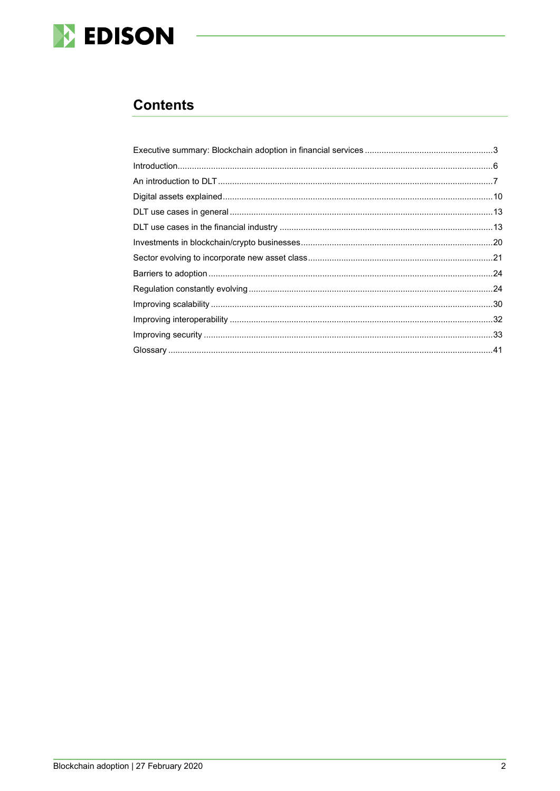

# **Contents**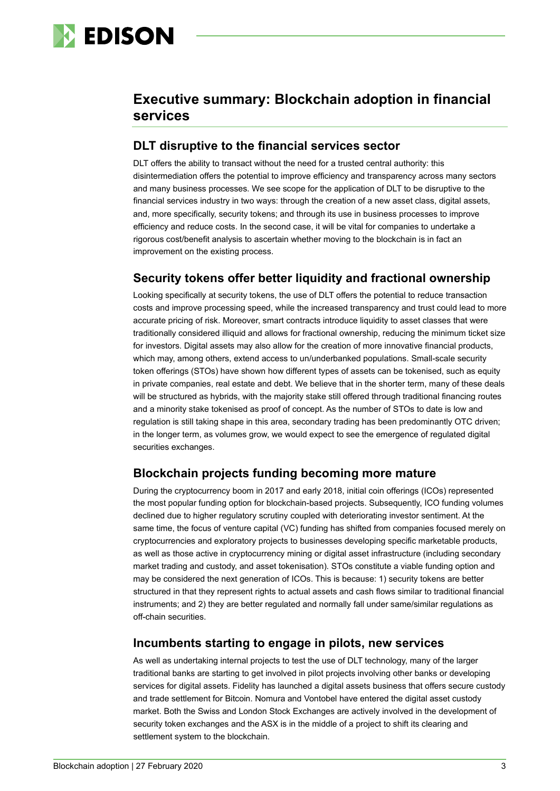

# <span id="page-2-0"></span>**Executive summary: Blockchain adoption in financial services**

# **DLT disruptive to the financial services sector**

DLT offers the ability to transact without the need for a trusted central authority: this disintermediation offers the potential to improve efficiency and transparency across many sectors and many business processes. We see scope for the application of DLT to be disruptive to the financial services industry in two ways: through the creation of a new asset class, digital assets, and, more specifically, security tokens; and through its use in business processes to improve efficiency and reduce costs. In the second case, it will be vital for companies to undertake a rigorous cost/benefit analysis to ascertain whether moving to the blockchain is in fact an improvement on the existing process.

# **Security tokens offer better liquidity and fractional ownership**

Looking specifically at security tokens, the use of DLT offers the potential to reduce transaction costs and improve processing speed, while the increased transparency and trust could lead to more accurate pricing of risk. Moreover, smart contracts introduce liquidity to asset classes that were traditionally considered illiquid and allows for fractional ownership, reducing the minimum ticket size for investors. Digital assets may also allow for the creation of more innovative financial products, which may, among others, extend access to un/underbanked populations. Small-scale security token offerings (STOs) have shown how different types of assets can be tokenised, such as equity in private companies, real estate and debt. We believe that in the shorter term, many of these deals will be structured as hybrids, with the majority stake still offered through traditional financing routes and a minority stake tokenised as proof of concept. As the number of STOs to date is low and regulation is still taking shape in this area, secondary trading has been predominantly OTC driven; in the longer term, as volumes grow, we would expect to see the emergence of regulated digital securities exchanges.

# **Blockchain projects funding becoming more mature**

During the cryptocurrency boom in 2017 and early 2018, initial coin offerings (ICOs) represented the most popular funding option for blockchain-based projects. Subsequently, ICO funding volumes declined due to higher regulatory scrutiny coupled with deteriorating investor sentiment. At the same time, the focus of venture capital (VC) funding has shifted from companies focused merely on cryptocurrencies and exploratory projects to businesses developing specific marketable products, as well as those active in cryptocurrency mining or digital asset infrastructure (including secondary market trading and custody, and asset tokenisation). STOs constitute a viable funding option and may be considered the next generation of ICOs. This is because: 1) security tokens are better structured in that they represent rights to actual assets and cash flows similar to traditional financial instruments; and 2) they are better regulated and normally fall under same/similar regulations as off-chain securities.

# **Incumbents starting to engage in pilots, new services**

As well as undertaking internal projects to test the use of DLT technology, many of the larger traditional banks are starting to get involved in pilot projects involving other banks or developing services for digital assets. Fidelity has launched a digital assets business that offers secure custody and trade settlement for Bitcoin. Nomura and Vontobel have entered the digital asset custody market. Both the Swiss and London Stock Exchanges are actively involved in the development of security token exchanges and the ASX is in the middle of a project to shift its clearing and settlement system to the blockchain.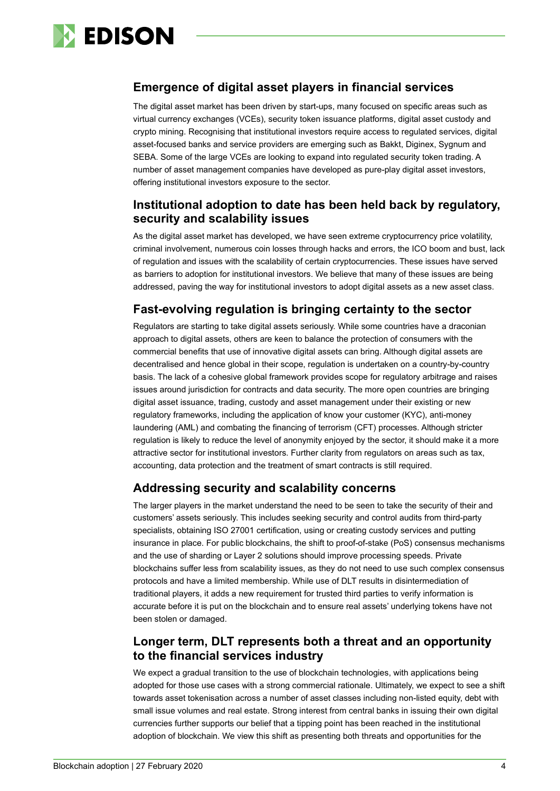

# **Emergence of digital asset players in financial services**

The digital asset market has been driven by start-ups, many focused on specific areas such as virtual currency exchanges (VCEs), security token issuance platforms, digital asset custody and crypto mining. Recognising that institutional investors require access to regulated services, digital asset-focused banks and service providers are emerging such as Bakkt, Diginex, Sygnum and SEBA. Some of the large VCEs are looking to expand into regulated security token trading. A number of asset management companies have developed as pure-play digital asset investors, offering institutional investors exposure to the sector.

# **Institutional adoption to date has been held back by regulatory, security and scalability issues**

As the digital asset market has developed, we have seen extreme cryptocurrency price volatility, criminal involvement, numerous coin losses through hacks and errors, the ICO boom and bust, lack of regulation and issues with the scalability of certain cryptocurrencies. These issues have served as barriers to adoption for institutional investors. We believe that many of these issues are being addressed, paving the way for institutional investors to adopt digital assets as a new asset class.

# **Fast-evolving regulation is bringing certainty to the sector**

Regulators are starting to take digital assets seriously. While some countries have a draconian approach to digital assets, others are keen to balance the protection of consumers with the commercial benefits that use of innovative digital assets can bring. Although digital assets are decentralised and hence global in their scope, regulation is undertaken on a country-by-country basis. The lack of a cohesive global framework provides scope for regulatory arbitrage and raises issues around jurisdiction for contracts and data security. The more open countries are bringing digital asset issuance, trading, custody and asset management under their existing or new regulatory frameworks, including the application of know your customer (KYC), anti-money laundering (AML) and combating the financing of terrorism (CFT) processes. Although stricter regulation is likely to reduce the level of anonymity enjoyed by the sector, it should make it a more attractive sector for institutional investors. Further clarity from regulators on areas such as tax, accounting, data protection and the treatment of smart contracts is still required.

# **Addressing security and scalability concerns**

The larger players in the market understand the need to be seen to take the security of their and customers' assets seriously. This includes seeking security and control audits from third-party specialists, obtaining ISO 27001 certification, using or creating custody services and putting insurance in place. For public blockchains, the shift to proof-of-stake (PoS) consensus mechanisms and the use of sharding or Layer 2 solutions should improve processing speeds. Private blockchains suffer less from scalability issues, as they do not need to use such complex consensus protocols and have a limited membership. While use of DLT results in disintermediation of traditional players, it adds a new requirement for trusted third parties to verify information is accurate before it is put on the blockchain and to ensure real assets' underlying tokens have not been stolen or damaged.

# **Longer term, DLT represents both a threat and an opportunity to the financial services industry**

We expect a gradual transition to the use of blockchain technologies, with applications being adopted for those use cases with a strong commercial rationale. Ultimately, we expect to see a shift towards asset tokenisation across a number of asset classes including non-listed equity, debt with small issue volumes and real estate. Strong interest from central banks in issuing their own digital currencies further supports our belief that a tipping point has been reached in the institutional adoption of blockchain. We view this shift as presenting both threats and opportunities for the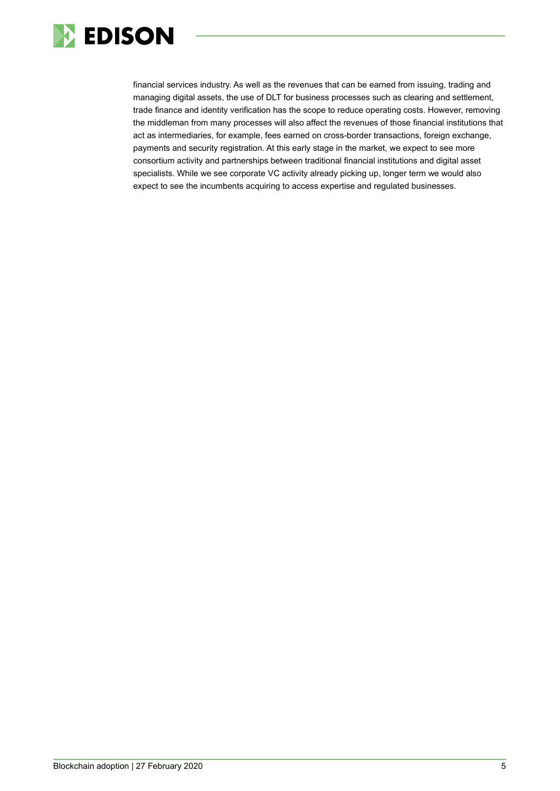

<span id="page-4-0"></span>financial services industry. As well as the revenues that can be earned from issuing, trading and managing digital assets, the use of DLT for business processes such as clearing and settlement, trade finance and identity verification has the scope to reduce operating costs. However, removing the middleman from many processes will also affect the revenues of those financial institutions that act as intermediaries, for example, fees earned on cross-border transactions, foreign exchange, payments and security registration. At this early stage in the market, we expect to see more consortium activity and partnerships between traditional financial institutions and digital asset specialists. While we see corporate VC activity already picking up, longer term we would also expect to see the incumbents acquiring to access expertise and regulated businesses.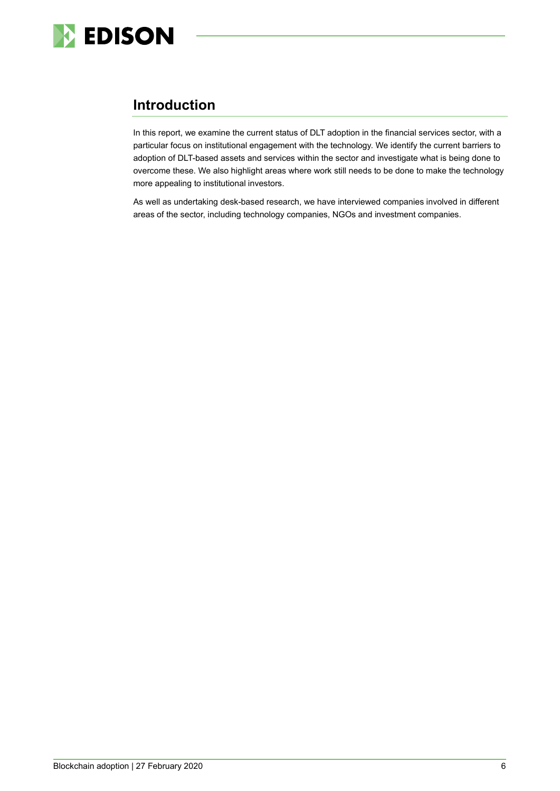

# **Introduction**

In this report, we examine the current status of DLT adoption in the financial services sector, with a particular focus on institutional engagement with the technology. We identify the current barriers to adoption of DLT-based assets and services within the sector and investigate what is being done to overcome these. We also highlight areas where work still needs to be done to make the technology more appealing to institutional investors.

<span id="page-5-0"></span>As well as undertaking desk-based research, we have interviewed companies involved in different areas of the sector, including technology companies, NGOs and investment companies.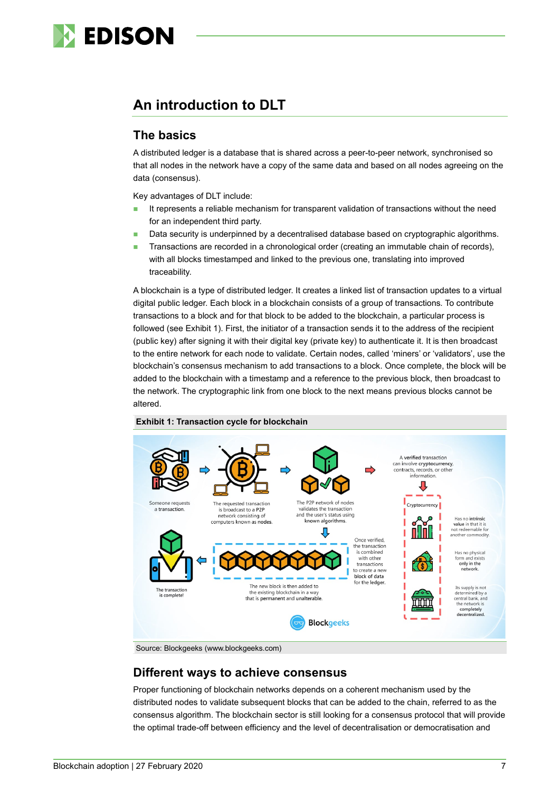

# **An introduction to DLT**

# **The basics**

A distributed ledger is a database that is shared across a peer-to-peer network, synchronised so that all nodes in the network have a copy of the same data and based on all nodes agreeing on the data (consensus).

Key advantages of DLT include:

- It represents a reliable mechanism for transparent validation of transactions without the need for an independent third party.
- Data security is underpinned by a decentralised database based on cryptographic algorithms.
- **Transactions are recorded in a chronological order (creating an immutable chain of records),** with all blocks timestamped and linked to the previous one, translating into improved traceability.

A blockchain is a type of distributed ledger. It creates a linked list of transaction updates to a virtual digital public ledger. Each block in a blockchain consists of a group of transactions*.* To contribute transactions to a block and for that block to be added to the blockchain, a particular process is followed (see Exhibit 1). First, the initiator of a transaction sends it to the address of the recipient (public key) after signing it with their digital key (private key) to authenticate it. It is then broadcast to the entire network for each node to validate. Certain nodes, called 'miners' or 'validators', use the blockchain's consensus mechanism to add transactions to a block. Once complete, the block will be added to the blockchain with a timestamp and a reference to the previous block, then broadcast to the network. The cryptographic link from one block to the next means previous blocks cannot be altered.



#### **Exhibit 1: Transaction cycle for blockchain**

Source: Blockgeeks (www.blockgeeks.com)

### **Different ways to achieve consensus**

Proper functioning of blockchain networks depends on a coherent mechanism used by the distributed nodes to validate subsequent blocks that can be added to the chain, referred to as the consensus algorithm. The blockchain sector is still looking for a consensus protocol that will provide the optimal trade-off between efficiency and the level of decentralisation or democratisation and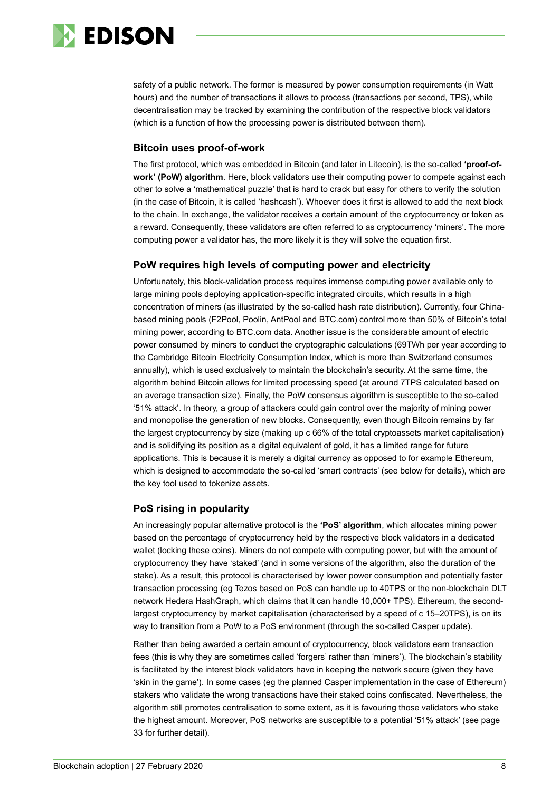

safety of a public network. The former is measured by power consumption requirements (in Watt hours) and the number of transactions it allows to process (transactions per second, TPS), while decentralisation may be tracked by examining the contribution of the respective block validators (which is a function of how the processing power is distributed between them).

#### **Bitcoin uses proof-of-work**

The first protocol, which was embedded in Bitcoin (and later in Litecoin), is the so-called **'proof-ofwork' (PoW) algorithm**. Here, block validators use their computing power to compete against each other to solve a 'mathematical puzzle' that is hard to crack but easy for others to verify the solution (in the case of Bitcoin, it is called 'hashcash'). Whoever does it first is allowed to add the next block to the chain. In exchange, the validator receives a certain amount of the cryptocurrency or token as a reward. Consequently, these validators are often referred to as cryptocurrency 'miners'. The more computing power a validator has, the more likely it is they will solve the equation first.

#### **PoW requires high levels of computing power and electricity**

Unfortunately, this block-validation process requires immense computing power available only to large mining pools deploying application-specific integrated circuits, which results in a high concentration of miners (as illustrated by the so-called hash rate distribution). Currently, four Chinabased mining pools (F2Pool, Poolin, AntPool and BTC.com) control more than 50% of Bitcoin's total mining power, according to BTC.com data. Another issue is the considerable amount of electric power consumed by miners to conduct the cryptographic calculations (69TWh per year according to the Cambridge Bitcoin Electricity Consumption Index, which is more than Switzerland consumes annually), which is used exclusively to maintain the blockchain's security. At the same time, the algorithm behind Bitcoin allows for limited processing speed (at around 7TPS calculated based on an average transaction size). Finally, the PoW consensus algorithm is susceptible to the so-called '51% attack'. In theory, a group of attackers could gain control over the majority of mining power and monopolise the generation of new blocks. Consequently, even though Bitcoin remains by far the largest cryptocurrency by size (making up c 66% of the total cryptoassets market capitalisation) and is solidifying its position as a digital equivalent of gold, it has a limited range for future applications. This is because it is merely a digital currency as opposed to for example Ethereum, which is designed to accommodate the so-called 'smart contracts' (see below for details), which are the key tool used to tokenize assets.

#### **PoS rising in popularity**

An increasingly popular alternative protocol is the **'PoS' algorithm**, which allocates mining power based on the percentage of cryptocurrency held by the respective block validators in a dedicated wallet (locking these coins). Miners do not compete with computing power, but with the amount of cryptocurrency they have 'staked' (and in some versions of the algorithm, also the duration of the stake). As a result, this protocol is characterised by lower power consumption and potentially faster transaction processing (eg Tezos based on PoS can handle up to 40TPS or the non-blockchain DLT network Hedera HashGraph, which claims that it can handle 10,000+ TPS). Ethereum, the secondlargest cryptocurrency by market capitalisation (characterised by a speed of c 15–20TPS), is on its way to transition from a PoW to a PoS environment (through the so-called Casper update).

Rather than being awarded a certain amount of cryptocurrency, block validators earn transaction fees (this is why they are sometimes called 'forgers' rather than 'miners'). The blockchain's stability is facilitated by the interest block validators have in keeping the network secure (given they have 'skin in the game'). In some cases (eg the planned Casper implementation in the case of Ethereum) stakers who validate the wrong transactions have their staked coins confiscated. Nevertheless, the algorithm still promotes centralisation to some extent, as it is favouring those validators who stake the highest amount. Moreover, PoS networks are susceptible to a potential '51% attack' (see page 33 for further detail).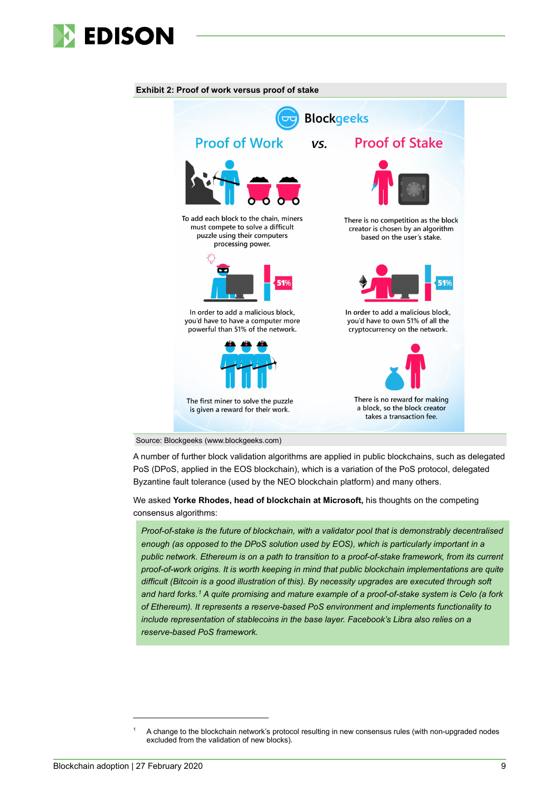



**Exhibit 2: Proof of work versus proof of stake**



A number of further block validation algorithms are applied in public blockchains, such as delegated PoS (DPoS, applied in the EOS blockchain), which is a variation of the PoS protocol, delegated Byzantine fault tolerance (used by the NEO blockchain platform) and many others.

We asked **Yorke Rhodes, head of blockchain at Microsoft,** his thoughts on the competing consensus algorithms:

*Proof-of-stake is the future of blockchain, with a validator pool that is demonstrably decentralised enough (as opposed to the DPoS solution used by EOS), which is particularly important in a public network. Ethereum is on a path to transition to a proof-of-stake framework, from its current proof-of-work origins. It is worth keeping in mind that public blockchain implementations are quite difficult (Bitcoin is a good illustration of this). By necessity upgrades are executed through soft and hard forks.[1](#page-8-0) A quite promising and mature example of a proof-of-stake system is Celo (a fork of Ethereum). It represents a reserve-based PoS environment and implements functionality to include representation of stablecoins in the base layer. Facebook's Libra also relies on a reserve-based PoS framework.*

<span id="page-8-0"></span><sup>1</sup> A change to the blockchain network's protocol resulting in new consensus rules (with non-upgraded nodes excluded from the validation of new blocks).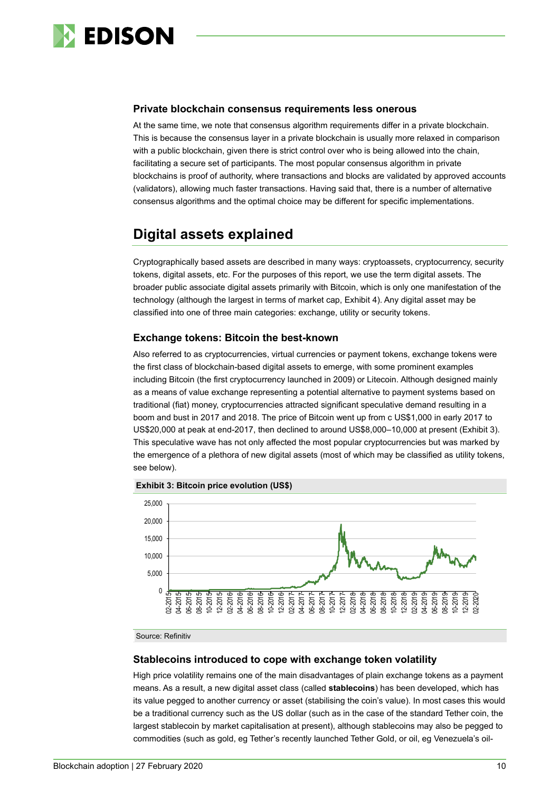

#### **Private blockchain consensus requirements less onerous**

At the same time, we note that consensus algorithm requirements differ in a private blockchain. This is because the consensus layer in a private blockchain is usually more relaxed in comparison with a public blockchain, given there is strict control over who is being allowed into the chain, facilitating a secure set of participants. The most popular consensus algorithm in private blockchains is proof of authority, where transactions and blocks are validated by approved accounts (validators), allowing much faster transactions. Having said that, there is a number of alternative consensus algorithms and the optimal choice may be different for specific implementations.

# <span id="page-9-0"></span>**Digital assets explained**

Cryptographically based assets are described in many ways: cryptoassets, cryptocurrency, security tokens, digital assets, etc. For the purposes of this report, we use the term digital assets. The broader public associate digital assets primarily with Bitcoin, which is only one manifestation of the technology (although the largest in terms of market cap, Exhibit 4). Any digital asset may be classified into one of three main categories: exchange, utility or security tokens.

### **Exchange tokens: Bitcoin the best-known**

Also referred to as cryptocurrencies, virtual currencies or payment tokens, exchange tokens were the first class of blockchain-based digital assets to emerge, with some prominent examples including Bitcoin (the first cryptocurrency launched in 2009) or Litecoin. Although designed mainly as a means of value exchange representing a potential alternative to payment systems based on traditional (fiat) money, cryptocurrencies attracted significant speculative demand resulting in a boom and bust in 2017 and 2018. The price of Bitcoin went up from c US\$1,000 in early 2017 to US\$20,000 at peak at end-2017, then declined to around US\$8,000–10,000 at present (Exhibit 3). This speculative wave has not only affected the most popular cryptocurrencies but was marked by the emergence of a plethora of new digital assets (most of which may be classified as utility tokens, see below).





Source: Refinitiv

#### **Stablecoins introduced to cope with exchange token volatility**

High price volatility remains one of the main disadvantages of plain exchange tokens as a payment means. As a result, a new digital asset class (called **stablecoins**) has been developed, which has its value pegged to another currency or asset (stabilising the coin's value). In most cases this would be a traditional currency such as the US dollar (such as in the case of the standard Tether coin, the largest stablecoin by market capitalisation at present), although stablecoins may also be pegged to commodities (such as gold, eg Tether's recently launched Tether Gold, or oil, eg Venezuela's oil-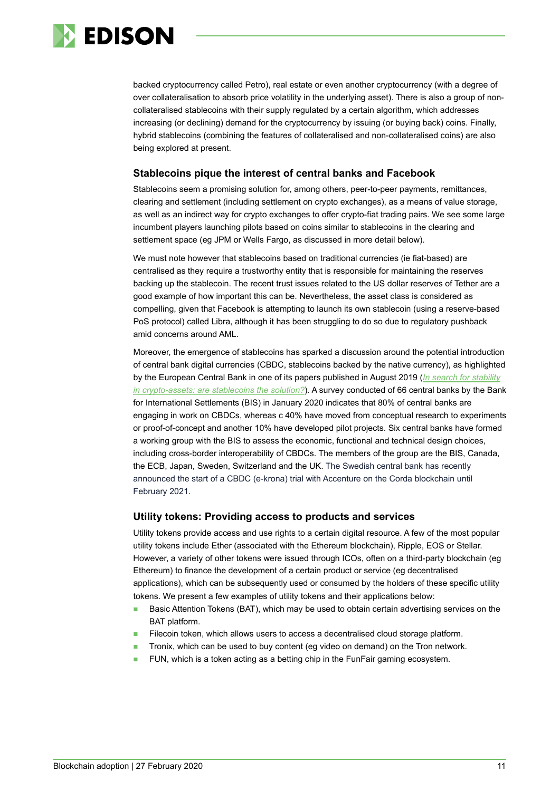

backed cryptocurrency called Petro), real estate or even another cryptocurrency (with a degree of over collateralisation to absorb price volatility in the underlying asset). There is also a group of noncollateralised stablecoins with their supply regulated by a certain algorithm, which addresses increasing (or declining) demand for the cryptocurrency by issuing (or buying back) coins. Finally, hybrid stablecoins (combining the features of collateralised and non-collateralised coins) are also being explored at present.

#### **Stablecoins pique the interest of central banks and Facebook**

Stablecoins seem a promising solution for, among others, peer-to-peer payments, remittances, clearing and settlement (including settlement on crypto exchanges), as a means of value storage, as well as an indirect way for crypto exchanges to offer crypto-fiat trading pairs. We see some large incumbent players launching pilots based on coins similar to stablecoins in the clearing and settlement space (eg JPM or Wells Fargo, as discussed in more detail below).

We must note however that stablecoins based on traditional currencies (ie fiat-based) are centralised as they require a trustworthy entity that is responsible for maintaining the reserves backing up the stablecoin. The recent trust issues related to the US dollar reserves of Tether are a good example of how important this can be. Nevertheless, the asset class is considered as compelling, given that Facebook is attempting to launch its own stablecoin (using a reserve-based PoS protocol) called Libra, although it has been struggling to do so due to regulatory pushback amid concerns around AML.

Moreover, the emergence of stablecoins has sparked a discussion around the potential introduction of central bank digital currencies (CBDC, stablecoins backed by the native currency), as highlighted by the European Central Bank in one of its papers published in August 2019 (*[In search for stability](https://www.ecb.europa.eu/pub/pdf/scpops/ecb.op230%7Ed57946be3b.en.pdf)  [in crypto-assets: are stablecoins the solution?](https://www.ecb.europa.eu/pub/pdf/scpops/ecb.op230%7Ed57946be3b.en.pdf)*)*.* A survey conducted of 66 central banks by the Bank for International Settlements (BIS) in January 2020 indicates that 80% of central banks are engaging in work on CBDCs, whereas c 40% have moved from conceptual research to experiments or proof-of-concept and another 10% have developed pilot projects. Six central banks have formed a working group with the BIS to assess the economic, functional and technical design choices, including cross-border interoperability of CBDCs. The members of the group are the BIS, Canada, the ECB, Japan, Sweden, Switzerland and the UK. The Swedish central bank has recently announced the start of a CBDC (e-krona) trial with Accenture on the Corda blockchain until February 2021.

#### **Utility tokens: Providing access to products and services**

Utility tokens provide access and use rights to a certain digital resource. A few of the most popular utility tokens include Ether (associated with the Ethereum blockchain), Ripple, EOS or Stellar. However, a variety of other tokens were issued through ICOs, often on a third-party blockchain (eg Ethereum) to finance the development of a certain product or service (eg decentralised applications), which can be subsequently used or consumed by the holders of these specific utility tokens. We present a few examples of utility tokens and their applications below:

- Basic Attention Tokens (BAT), which may be used to obtain certain advertising services on the BAT platform.
- Filecoin token, which allows users to access a decentralised cloud storage platform.
- Tronix, which can be used to buy content (eg video on demand) on the Tron network.
- FUN, which is a token acting as a betting chip in the FunFair gaming ecosystem.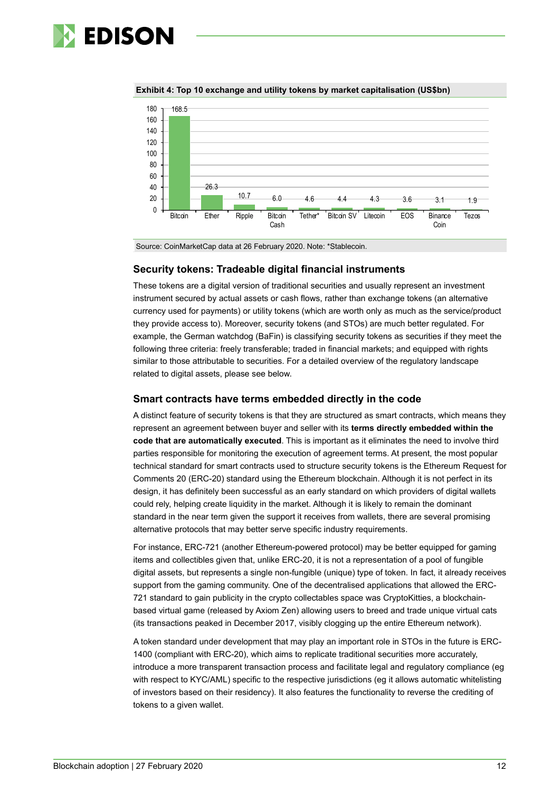



**Exhibit 4: Top 10 exchange and utility tokens by market capitalisation (US\$bn)**

Source: CoinMarketCap data at 26 February 2020. Note: \*Stablecoin.

#### **Security tokens: Tradeable digital financial instruments**

These tokens are a digital version of traditional securities and usually represent an investment instrument secured by actual assets or cash flows, rather than exchange tokens (an alternative currency used for payments) or utility tokens (which are worth only as much as the service/product they provide access to). Moreover, security tokens (and STOs) are much better regulated. For example, the German watchdog (BaFin) is classifying security tokens as securities if they meet the following three criteria: freely transferable; traded in financial markets; and equipped with rights similar to those attributable to securities. For a detailed overview of the regulatory landscape related to digital assets, please see below.

#### **Smart contracts have terms embedded directly in the code**

A distinct feature of security tokens is that they are structured as smart contracts, which means they represent an agreement between buyer and seller with its **terms directly embedded within the code that are automatically executed**. This is important as it eliminates the need to involve third parties responsible for monitoring the execution of agreement terms. At present, the most popular technical standard for smart contracts used to structure security tokens is the Ethereum Request for Comments 20 (ERC-20) standard using the Ethereum blockchain. Although it is not perfect in its design, it has definitely been successful as an early standard on which providers of digital wallets could rely, helping create liquidity in the market. Although it is likely to remain the dominant standard in the near term given the support it receives from wallets, there are several promising alternative protocols that may better serve specific industry requirements.

For instance, ERC-721 (another Ethereum-powered protocol) may be better equipped for gaming items and collectibles given that, unlike ERC-20, it is not a representation of a pool of fungible digital assets, but represents a single non-fungible (unique) type of token. In fact, it already receives support from the gaming community. One of the decentralised applications that allowed the ERC-721 standard to gain publicity in the crypto collectables space was CryptoKitties, a blockchainbased virtual game (released by Axiom Zen) allowing users to breed and trade unique virtual cats (its transactions peaked in December 2017, visibly clogging up the entire Ethereum network).

A token standard under development that may play an important role in STOs in the future is ERC-1400 (compliant with ERC-20), which aims to replicate traditional securities more accurately, introduce a more transparent transaction process and facilitate legal and regulatory compliance (eg with respect to KYC/AML) specific to the respective jurisdictions (eg it allows automatic whitelisting of investors based on their residency). It also features the functionality to reverse the crediting of tokens to a given wallet.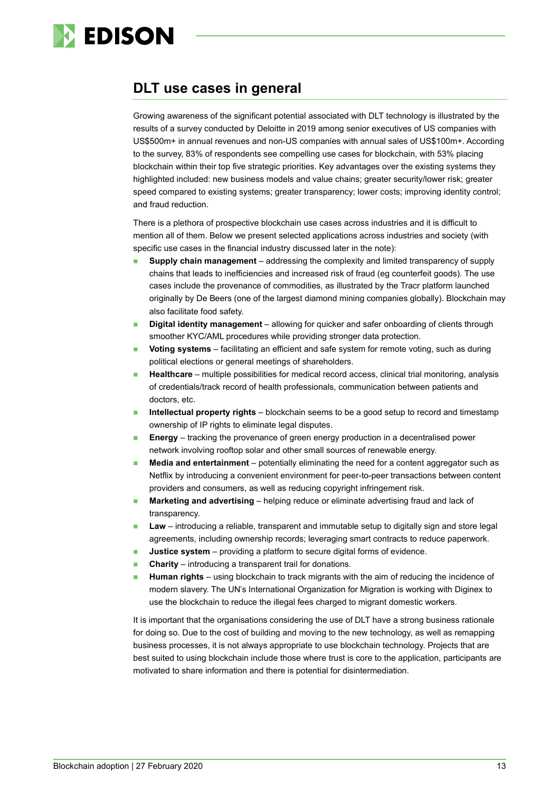

# <span id="page-12-0"></span>**DLT use cases in general**

<span id="page-12-1"></span>Growing awareness of the significant potential associated with DLT technology is illustrated by the results of a survey conducted by Deloitte in 2019 among senior executives of US companies with US\$500m+ in annual revenues and non-US companies with annual sales of US\$100m+. According to the survey, 83% of respondents see compelling use cases for blockchain, with 53% placing blockchain within their top five strategic priorities. Key advantages over the existing systems they highlighted included: new business models and value chains; greater security/lower risk; greater speed compared to existing systems; greater transparency; lower costs; improving identity control; and fraud reduction.

There is a plethora of prospective blockchain use cases across industries and it is difficult to mention all of them. Below we present selected applications across industries and society (with specific use cases in the financial industry discussed later in the note):

- **Supply chain management** addressing the complexity and limited transparency of supply chains that leads to inefficiencies and increased risk of fraud (eg counterfeit goods). The use cases include the provenance of commodities, as illustrated by the Tracr platform launched originally by De Beers (one of the largest diamond mining companies globally). Blockchain may also facilitate food safety.
- **Digital identity management**  allowing for quicker and safer onboarding of clients through smoother KYC/AML procedures while providing stronger data protection.
- **Voting systems** facilitating an efficient and safe system for remote voting, such as during political elections or general meetings of shareholders.
- **Healthcare**  multiple possibilities for medical record access, clinical trial monitoring, analysis of credentials/track record of health professionals, communication between patients and doctors, etc.
- **Intellectual property rights** blockchain seems to be a good setup to record and timestamp ownership of IP rights to eliminate legal disputes.
- **Energy**  tracking the provenance of green energy production in a decentralised power network involving rooftop solar and other small sources of renewable energy.
- **Media and entertainment** potentially eliminating the need for a content aggregator such as Netflix by introducing a convenient environment for peer-to-peer transactions between content providers and consumers, as well as reducing copyright infringement risk.
- **Marketing and advertising** helping reduce or eliminate advertising fraud and lack of transparency.
- **Law**  introducing a reliable, transparent and immutable setup to digitally sign and store legal agreements, including ownership records; leveraging smart contracts to reduce paperwork.
- **Justice system** providing a platform to secure digital forms of evidence.
- **Charity**  introducing a transparent trail for donations.
- **Human rights** using blockchain to track migrants with the aim of reducing the incidence of modern slavery. The UN's International Organization for Migration is working with Diginex to use the blockchain to reduce the illegal fees charged to migrant domestic workers.

It is important that the organisations considering the use of DLT have a strong business rationale for doing so. Due to the cost of building and moving to the new technology, as well as remapping business processes, it is not always appropriate to use blockchain technology. Projects that are best suited to using blockchain include those where trust is core to the application, participants are motivated to share information and there is potential for disintermediation.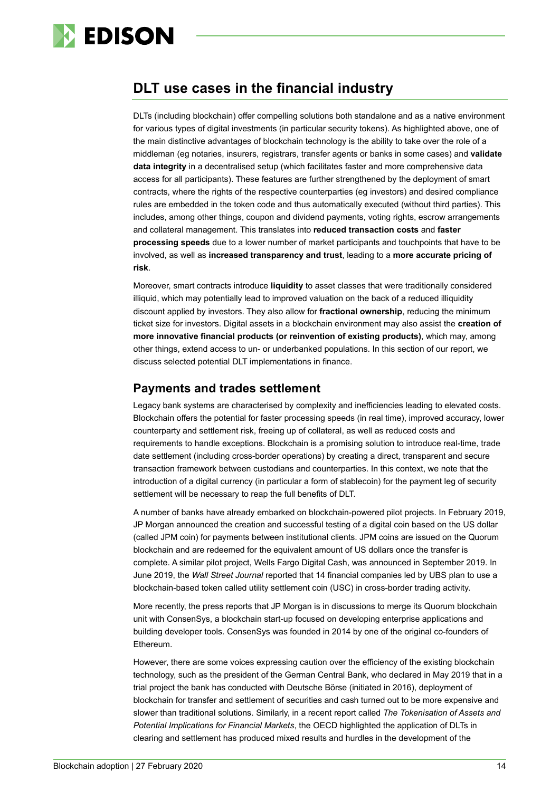

# **DLT use cases in the financial industry**

DLTs (including blockchain) offer compelling solutions both standalone and as a native environment for various types of digital investments (in particular security tokens). As highlighted above, one of the main distinctive advantages of blockchain technology is the ability to take over the role of a middleman (eg notaries, insurers, registrars, transfer agents or banks in some cases) and **validate data integrity** in a decentralised setup (which facilitates faster and more comprehensive data access for all participants). These features are further strengthened by the deployment of smart contracts, where the rights of the respective counterparties (eg investors) and desired compliance rules are embedded in the token code and thus automatically executed (without third parties). This includes, among other things, coupon and dividend payments, voting rights, escrow arrangements and collateral management. This translates into **reduced transaction costs** and **faster processing speeds** due to a lower number of market participants and touchpoints that have to be involved, as well as **increased transparency and trust**, leading to a **more accurate pricing of risk**.

Moreover, smart contracts introduce **liquidity** to asset classes that were traditionally considered illiquid, which may potentially lead to improved valuation on the back of a reduced illiquidity discount applied by investors. They also allow for **fractional ownership**, reducing the minimum ticket size for investors. Digital assets in a blockchain environment may also assist the **creation of more innovative financial products (or reinvention of existing products)**, which may, among other things, extend access to un- or underbanked populations. In this section of our report, we discuss selected potential DLT implementations in finance.

### **Payments and trades settlement**

Legacy bank systems are characterised by complexity and inefficiencies leading to elevated costs. Blockchain offers the potential for faster processing speeds (in real time), improved accuracy, lower counterparty and settlement risk, freeing up of collateral, as well as reduced costs and requirements to handle exceptions. Blockchain is a promising solution to introduce real-time, trade date settlement (including cross-border operations) by creating a direct, transparent and secure transaction framework between custodians and counterparties. In this context, we note that the introduction of a digital currency (in particular a form of stablecoin) for the payment leg of security settlement will be necessary to reap the full benefits of DLT.

A number of banks have already embarked on blockchain-powered pilot projects. In February 2019, JP Morgan announced the creation and successful testing of a digital coin based on the US dollar (called JPM coin) for payments between institutional clients. JPM coins are issued on the Quorum blockchain and are redeemed for the equivalent amount of US dollars once the transfer is complete. A similar pilot project, Wells Fargo Digital Cash, was announced in September 2019. In June 2019, the *Wall Street Journal* reported that 14 financial companies led by UBS plan to use a blockchain-based token called utility settlement coin (USC) in cross-border trading activity.

More recently, the press reports that JP Morgan is in discussions to merge its Quorum blockchain unit with ConsenSys, a blockchain start-up focused on developing enterprise applications and building developer tools. ConsenSys was founded in 2014 by one of the original co-founders of Ethereum.

However, there are some voices expressing caution over the efficiency of the existing blockchain technology, such as the president of the German Central Bank, who declared in May 2019 that in a trial project the bank has conducted with Deutsche Börse (initiated in 2016), deployment of blockchain for transfer and settlement of securities and cash turned out to be more expensive and slower than traditional solutions. Similarly, in a recent report called *The Tokenisation of Assets and Potential Implications for Financial Markets*, the OECD highlighted the application of DLTs in clearing and settlement has produced mixed results and hurdles in the development of the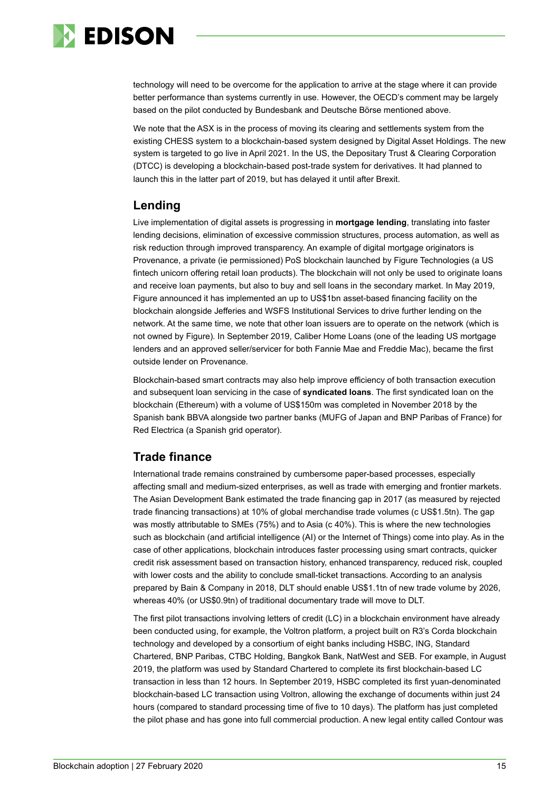

technology will need to be overcome for the application to arrive at the stage where it can provide better performance than systems currently in use. However, the OECD's comment may be largely based on the pilot conducted by Bundesbank and Deutsche Börse mentioned above.

We note that the ASX is in the process of moving its clearing and settlements system from the existing CHESS system to a blockchain-based system designed by Digital Asset Holdings. The new system is targeted to go live in April 2021. In the US, the Depositary Trust & Clearing Corporation (DTCC) is developing a blockchain-based post-trade system for derivatives. It had planned to launch this in the latter part of 2019, but has delayed it until after Brexit.

# **Lending**

Live implementation of digital assets is progressing in **mortgage lending**, translating into faster lending decisions, elimination of excessive commission structures, process automation, as well as risk reduction through improved transparency. An example of digital mortgage originators is Provenance, a private (ie permissioned) PoS blockchain launched by Figure Technologies (a US fintech unicorn offering retail loan products). The blockchain will not only be used to originate loans and receive loan payments, but also to buy and sell loans in the secondary market. In May 2019, Figure announced it has implemented an up to US\$1bn asset-based financing facility on the blockchain alongside Jefferies and WSFS Institutional Services to drive further lending on the network. At the same time, we note that other loan issuers are to operate on the network (which is not owned by Figure). In September 2019, Caliber Home Loans (one of the leading US mortgage lenders and an approved seller/servicer for both Fannie Mae and Freddie Mac), became the first outside lender on Provenance.

Blockchain-based smart contracts may also help improve efficiency of both transaction execution and subsequent loan servicing in the case of **syndicated loans**. The first syndicated loan on the blockchain (Ethereum) with a volume of US\$150m was completed in November 2018 by the Spanish bank BBVA alongside two partner banks (MUFG of Japan and BNP Paribas of France) for Red Electrica (a Spanish grid operator).

# **Trade finance**

International trade remains constrained by cumbersome paper-based processes, especially affecting small and medium-sized enterprises, as well as trade with emerging and frontier markets. The Asian Development Bank estimated the trade financing gap in 2017 (as measured by rejected trade financing transactions) at 10% of global merchandise trade volumes (c US\$1.5tn). The gap was mostly attributable to SMEs (75%) and to Asia (c 40%). This is where the new technologies such as blockchain (and artificial intelligence (AI) or the Internet of Things) come into play. As in the case of other applications, blockchain introduces faster processing using smart contracts, quicker credit risk assessment based on transaction history, enhanced transparency, reduced risk, coupled with lower costs and the ability to conclude small-ticket transactions. According to an analysis prepared by Bain & Company in 2018, DLT should enable US\$1.1tn of new trade volume by 2026, whereas 40% (or US\$0.9tn) of traditional documentary trade will move to DLT.

The first pilot transactions involving letters of credit (LC) in a blockchain environment have already been conducted using, for example, the Voltron platform, a project built on R3's Corda blockchain technology and developed by a consortium of eight banks including HSBC, ING, Standard Chartered, BNP Paribas, CTBC Holding, Bangkok Bank, NatWest and SEB. For example, in August 2019, the platform was used by Standard Chartered to complete its first blockchain-based LC transaction in less than 12 hours. In September 2019, HSBC completed its first yuan-denominated blockchain-based LC transaction using Voltron, allowing the exchange of documents within just 24 hours (compared to standard processing time of five to 10 days). The platform has just completed the pilot phase and has gone into full commercial production. A new legal entity called Contour was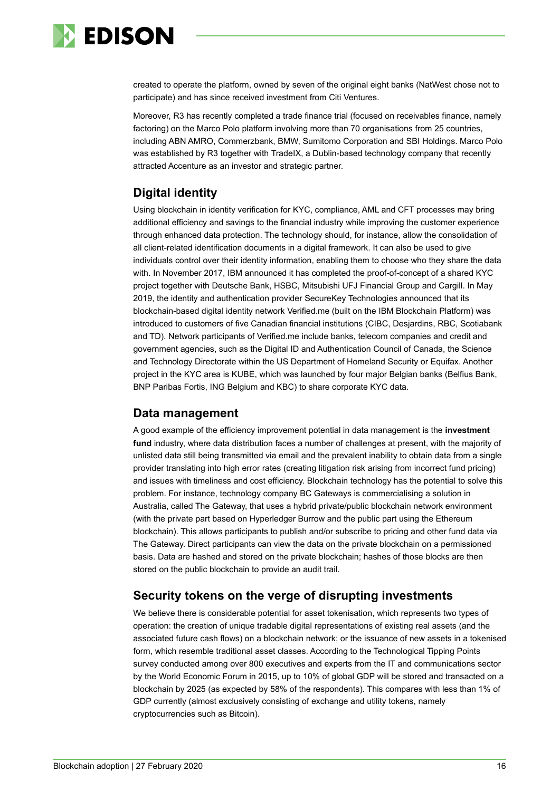

created to operate the platform, owned by seven of the original eight banks (NatWest chose not to participate) and has since received investment from Citi Ventures.

Moreover, R3 has recently completed a trade finance trial (focused on receivables finance, namely factoring) on the Marco Polo platform involving more than 70 organisations from 25 countries, including ABN AMRO, Commerzbank, BMW, Sumitomo Corporation and SBI Holdings. Marco Polo was established by R3 together with TradeIX, a Dublin-based technology company that recently attracted Accenture as an investor and strategic partner.

# **Digital identity**

Using blockchain in identity verification for KYC, compliance, AML and CFT processes may bring additional efficiency and savings to the financial industry while improving the customer experience through enhanced data protection. The technology should, for instance, allow the consolidation of all client-related identification documents in a digital framework. It can also be used to give individuals control over their identity information, enabling them to choose who they share the data with. In November 2017, IBM announced it has completed the proof-of-concept of a shared KYC project together with Deutsche Bank, HSBC, Mitsubishi UFJ Financial Group and Cargill. In May 2019, the identity and authentication provider SecureKey Technologies announced that its blockchain-based digital identity network Verified.me (built on the IBM Blockchain Platform) was introduced to customers of five Canadian financial institutions (CIBC, Desjardins, RBC, Scotiabank and TD). Network participants of Verified.me include banks, telecom companies and credit and government agencies, such as the Digital ID and Authentication Council of Canada, the Science and Technology Directorate within the US Department of Homeland Security or Equifax. Another project in the KYC area is KUBE, which was launched by four major Belgian banks (Belfius Bank, BNP Paribas Fortis, ING Belgium and KBC) to share corporate KYC data.

# **Data management**

A good example of the efficiency improvement potential in data management is the **investment fund** industry, where data distribution faces a number of challenges at present, with the majority of unlisted data still being transmitted via email and the prevalent inability to obtain data from a single provider translating into high error rates (creating litigation risk arising from incorrect fund pricing) and issues with timeliness and cost efficiency. Blockchain technology has the potential to solve this problem. For instance, technology company BC Gateways is commercialising a solution in Australia, called The Gateway, that uses a hybrid private/public blockchain network environment (with the private part based on Hyperledger Burrow and the public part using the Ethereum blockchain). This allows participants to publish and/or subscribe to pricing and other fund data via The Gateway. Direct participants can view the data on the private blockchain on a permissioned basis. Data are hashed and stored on the private blockchain; hashes of those blocks are then stored on the public blockchain to provide an audit trail.

# **Security tokens on the verge of disrupting investments**

We believe there is considerable potential for asset tokenisation, which represents two types of operation: the creation of unique tradable digital representations of existing real assets (and the associated future cash flows) on a blockchain network; or the issuance of new assets in a tokenised form, which resemble traditional asset classes. According to the Technological Tipping Points survey conducted among over 800 executives and experts from the IT and communications sector by the World Economic Forum in 2015, up to 10% of global GDP will be stored and transacted on a blockchain by 2025 (as expected by 58% of the respondents). This compares with less than 1% of GDP currently (almost exclusively consisting of exchange and utility tokens, namely cryptocurrencies such as Bitcoin).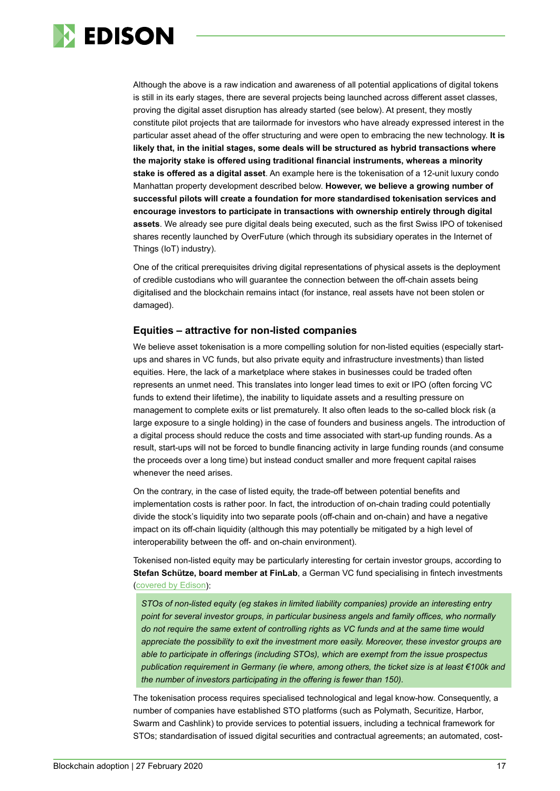

Although the above is a raw indication and awareness of all potential applications of digital tokens is still in its early stages, there are several projects being launched across different asset classes, proving the digital asset disruption has already started (see below). At present, they mostly constitute pilot projects that are tailormade for investors who have already expressed interest in the particular asset ahead of the offer structuring and were open to embracing the new technology. **It is likely that, in the initial stages, some deals will be structured as hybrid transactions where the majority stake is offered using traditional financial instruments, whereas a minority stake is offered as a digital asset**. An example here is the tokenisation of a 12-unit luxury condo Manhattan property development described below. **However, we believe a growing number of successful pilots will create a foundation for more standardised tokenisation services and encourage investors to participate in transactions with ownership entirely through digital assets**. We already see pure digital deals being executed, such as the first Swiss IPO of tokenised shares recently launched by OverFuture (which through its subsidiary operates in the Internet of Things (IoT) industry).

One of the critical prerequisites driving digital representations of physical assets is the deployment of credible custodians who will guarantee the connection between the off-chain assets being digitalised and the blockchain remains intact (for instance, real assets have not been stolen or damaged).

#### **Equities – attractive for non-listed companies**

We believe asset tokenisation is a more compelling solution for non-listed equities (especially startups and shares in VC funds, but also private equity and infrastructure investments) than listed equities. Here, the lack of a marketplace where stakes in businesses could be traded often represents an unmet need. This translates into longer lead times to exit or IPO (often forcing VC funds to extend their lifetime), the inability to liquidate assets and a resulting pressure on management to complete exits or list prematurely. It also often leads to the so-called block risk (a large exposure to a single holding) in the case of founders and business angels. The introduction of a digital process should reduce the costs and time associated with start-up funding rounds. As a result, start-ups will not be forced to bundle financing activity in large funding rounds (and consume the proceeds over a long time) but instead conduct smaller and more frequent capital raises whenever the need arises.

On the contrary, in the case of listed equity, the trade-off between potential benefits and implementation costs is rather poor. In fact, the introduction of on-chain trading could potentially divide the stock's liquidity into two separate pools (off-chain and on-chain) and have a negative impact on its off-chain liquidity (although this may potentially be mitigated by a high level of interoperability between the off- and on-chain environment).

Tokenised non-listed equity may be particularly interesting for certain investor groups, according to **Stefan Schütze, board member at FinLab**, a German VC fund specialising in fintech investments [\(covered by Edison\)](https://www.edisongroup.com/company/finlab/2595/):

*STOs of non-listed equity (eg stakes in limited liability companies) provide an interesting entry point for several investor groups, in particular business angels and family offices, who normally do not require the same extent of controlling rights as VC funds and at the same time would appreciate the possibility to exit the investment more easily. Moreover, these investor groups are able to participate in offerings (including STOs), which are exempt from the issue prospectus publication requirement in Germany (ie where, among others, the ticket size is at least €100k and the number of investors participating in the offering is fewer than 150).*

The tokenisation process requires specialised technological and legal know-how. Consequently, a number of companies have established STO platforms (such as Polymath, Securitize, Harbor, Swarm and Cashlink) to provide services to potential issuers, including a technical framework for STOs; standardisation of issued digital securities and contractual agreements; an automated, cost-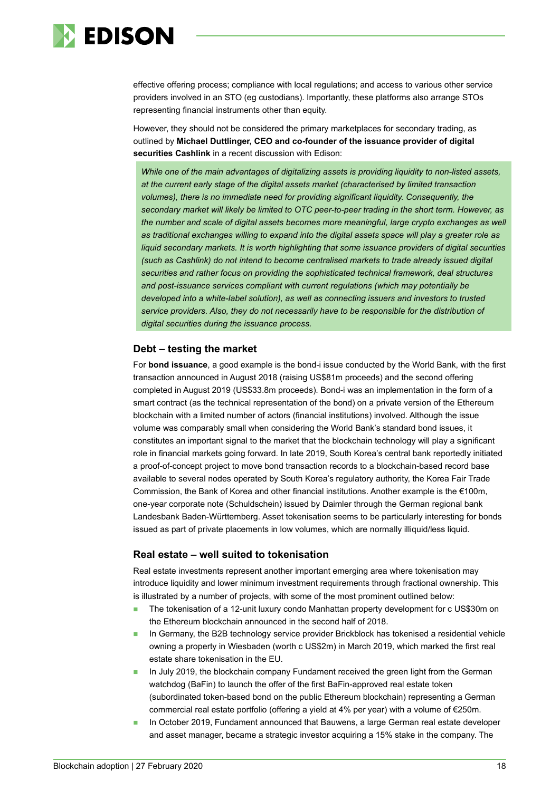

effective offering process; compliance with local regulations; and access to various other service providers involved in an STO (eg custodians). Importantly, these platforms also arrange STOs representing financial instruments other than equity.

However, they should not be considered the primary marketplaces for secondary trading, as outlined by **Michael Duttlinger, CEO and co-founder of the issuance provider of digital securities Cashlink** in a recent discussion with Edison:

*While one of the main advantages of digitalizing assets is providing liquidity to non-listed assets, at the current early stage of the digital assets market (characterised by limited transaction volumes), there is no immediate need for providing significant liquidity. Consequently, the secondary market will likely be limited to OTC peer-to-peer trading in the short term. However, as*  the number and scale of digital assets becomes more meaningful, large crypto exchanges as well *as traditional exchanges willing to expand into the digital assets space will play a greater role as liquid secondary markets. It is worth highlighting that some issuance providers of digital securities (such as Cashlink) do not intend to become centralised markets to trade already issued digital securities and rather focus on providing the sophisticated technical framework, deal structures and post-issuance services compliant with current regulations (which may potentially be developed into a white-label solution), as well as connecting issuers and investors to trusted service providers. Also, they do not necessarily have to be responsible for the distribution of digital securities during the issuance process.*

#### **Debt – testing the market**

For **bond issuance**, a good example is the bond-i issue conducted by the World Bank, with the first transaction announced in August 2018 (raising US\$81m proceeds) and the second offering completed in August 2019 (US\$33.8m proceeds). Bond-i was an implementation in the form of a smart contract (as the technical representation of the bond) on a private version of the Ethereum blockchain with a limited number of actors (financial institutions) involved. Although the issue volume was comparably small when considering the World Bank's standard bond issues, it constitutes an important signal to the market that the blockchain technology will play a significant role in financial markets going forward. In late 2019, South Korea's central bank reportedly initiated a proof-of-concept project to move bond transaction records to a blockchain-based record base available to several nodes operated by South Korea's regulatory authority, the Korea Fair Trade Commission, the Bank of Korea and other financial institutions. Another example is the €100m, one-year corporate note (Schuldschein) issued by Daimler through the German regional bank Landesbank Baden-Württemberg. Asset tokenisation seems to be particularly interesting for bonds issued as part of private placements in low volumes, which are normally illiquid/less liquid.

#### **Real estate – well suited to tokenisation**

Real estate investments represent another important emerging area where tokenisation may introduce liquidity and lower minimum investment requirements through fractional ownership. This is illustrated by a number of projects, with some of the most prominent outlined below:

- The tokenisation of a 12-unit luxury condo Manhattan property development for c US\$30m on the Ethereum blockchain announced in the second half of 2018.
- In Germany, the B2B technology service provider Brickblock has tokenised a residential vehicle owning a property in Wiesbaden (worth c US\$2m) in March 2019, which marked the first real estate share tokenisation in the EU.
- In July 2019, the blockchain company Fundament received the green light from the German watchdog (BaFin) to launch the offer of the first BaFin-approved real estate token (subordinated token-based bond on the public Ethereum blockchain) representing a German commercial real estate portfolio (offering a yield at 4% per year) with a volume of €250m.
- In October 2019, Fundament announced that Bauwens, a large German real estate developer and asset manager, became a strategic investor acquiring a 15% stake in the company. The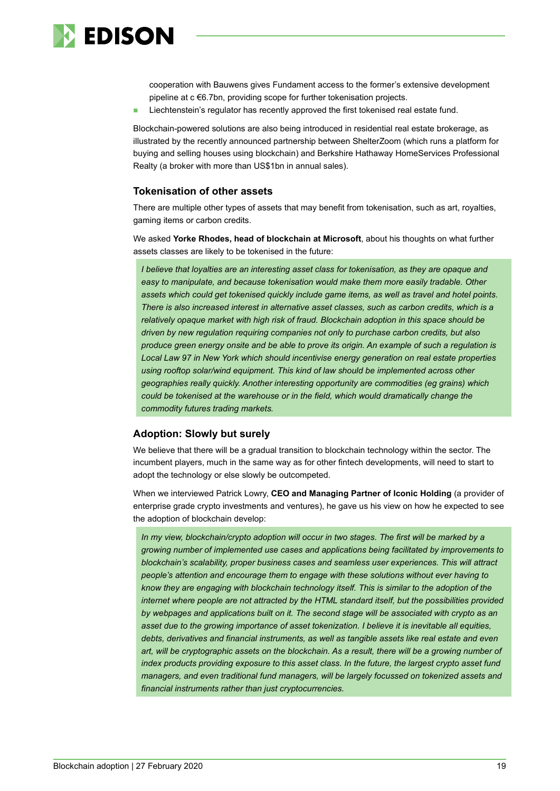

cooperation with Bauwens gives Fundament access to the former's extensive development pipeline at c €6.7bn, providing scope for further tokenisation projects.

Liechtenstein's regulator has recently approved the first tokenised real estate fund.

Blockchain-powered solutions are also being introduced in residential real estate brokerage, as illustrated by the recently announced partnership between ShelterZoom (which runs a platform for buying and selling houses using blockchain) and Berkshire Hathaway HomeServices Professional Realty (a broker with more than US\$1bn in annual sales).

#### **Tokenisation of other assets**

There are multiple other types of assets that may benefit from tokenisation, such as art, royalties, gaming items or carbon credits.

We asked **Yorke Rhodes, head of blockchain at Microsoft**, about his thoughts on what further assets classes are likely to be tokenised in the future:

*I believe that loyalties are an interesting asset class for tokenisation, as they are opaque and easy to manipulate, and because tokenisation would make them more easily tradable. Other assets which could get tokenised quickly include game items, as well as travel and hotel points. There is also increased interest in alternative asset classes, such as carbon credits, which is a relatively opaque market with high risk of fraud. Blockchain adoption in this space should be driven by new regulation requiring companies not only to purchase carbon credits, but also produce green energy onsite and be able to prove its origin. An example of such a regulation is Local Law 97 in New York which should incentivise energy generation on real estate properties using rooftop solar/wind equipment. This kind of law should be implemented across other geographies really quickly. Another interesting opportunity are commodities (eg grains) which could be tokenised at the warehouse or in the field, which would dramatically change the commodity futures trading markets.*

#### **Adoption: Slowly but surely**

We believe that there will be a gradual transition to blockchain technology within the sector. The incumbent players, much in the same way as for other fintech developments, will need to start to adopt the technology or else slowly be outcompeted.

When we interviewed Patrick Lowry, **CEO and Managing Partner of Iconic Holding** (a provider of enterprise grade crypto investments and ventures), he gave us his view on how he expected to see the adoption of blockchain develop:

*In my view, blockchain/crypto adoption will occur in two stages. The first will be marked by a growing number of implemented use cases and applications being facilitated by improvements to blockchain's scalability, proper business cases and seamless user experiences. This will attract people's attention and encourage them to engage with these solutions without ever having to know they are engaging with blockchain technology itself. This is similar to the adoption of the internet where people are not attracted by the HTML standard itself, but the possibilities provided by webpages and applications built on it. The second stage will be associated with crypto as an asset due to the growing importance of asset tokenization. I believe it is inevitable all equities, debts, derivatives and financial instruments, as well as tangible assets like real estate and even*  art, will be cryptographic assets on the blockchain. As a result, there will be a growing number of *index products providing exposure to this asset class. In the future, the largest crypto asset fund managers, and even traditional fund managers, will be largely focussed on tokenized assets and financial instruments rather than just cryptocurrencies.*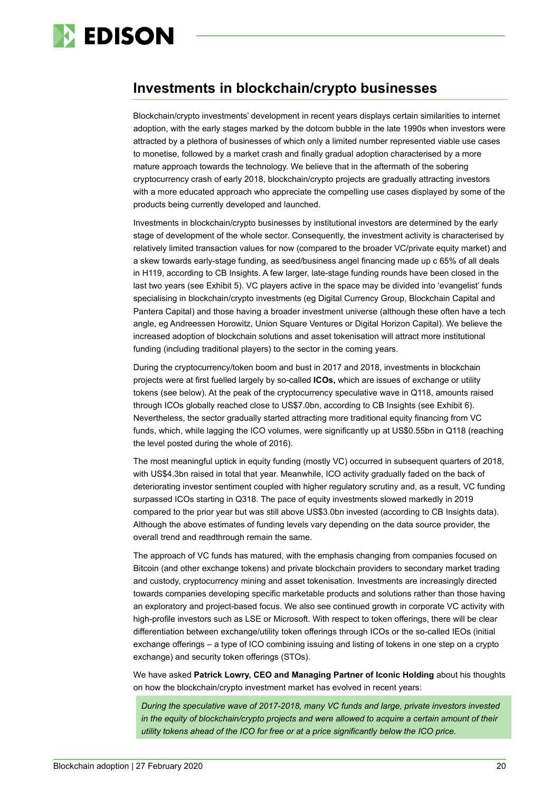

# <span id="page-19-0"></span>**Investments in blockchain/crypto businesses**

Blockchain/crypto investments' development in recent years displays certain similarities to internet adoption, with the early stages marked by the dotcom bubble in the late 1990s when investors were attracted by a plethora of businesses of which only a limited number represented viable use cases to monetise, followed by a market crash and finally gradual adoption characterised by a more mature approach towards the technology. We believe that in the aftermath of the sobering cryptocurrency crash of early 2018, blockchain/crypto projects are gradually attracting investors with a more educated approach who appreciate the compelling use cases displayed by some of the products being currently developed and launched.

Investments in blockchain/crypto businesses by institutional investors are determined by the early stage of development of the whole sector. Consequently, the investment activity is characterised by relatively limited transaction values for now (compared to the broader VC/private equity market) and a skew towards early-stage funding, as seed/business angel financing made up c 65% of all deals in H119, according to CB Insights. A few larger, late-stage funding rounds have been closed in the last two years (see Exhibit 5). VC players active in the space may be divided into 'evangelist' funds specialising in blockchain/crypto investments (eg Digital Currency Group, Blockchain Capital and Pantera Capital) and those having a broader investment universe (although these often have a tech angle, eg Andreessen Horowitz, Union Square Ventures or Digital Horizon Capital). We believe the increased adoption of blockchain solutions and asset tokenisation will attract more institutional funding (including traditional players) to the sector in the coming years.

During the cryptocurrency/token boom and bust in 2017 and 2018, investments in blockchain projects were at first fuelled largely by so-called **ICOs,** which are issues of exchange or utility tokens (see below). At the peak of the cryptocurrency speculative wave in Q118, amounts raised through ICOs globally reached close to US\$7.0bn, according to CB Insights (see Exhibit 6). Nevertheless, the sector gradually started attracting more traditional equity financing from VC funds, which, while lagging the ICO volumes, were significantly up at US\$0.55bn in Q118 (reaching the level posted during the whole of 2016).

The most meaningful uptick in equity funding (mostly VC) occurred in subsequent quarters of 2018, with US\$4.3bn raised in total that year. Meanwhile, ICO activity gradually faded on the back of deteriorating investor sentiment coupled with higher regulatory scrutiny and, as a result, VC funding surpassed ICOs starting in Q318. The pace of equity investments slowed markedly in 2019 compared to the prior year but was still above US\$3.0bn invested (according to CB Insights data). Although the above estimates of funding levels vary depending on the data source provider, the overall trend and readthrough remain the same.

The approach of VC funds has matured, with the emphasis changing from companies focused on Bitcoin (and other exchange tokens) and private blockchain providers to secondary market trading and custody, cryptocurrency mining and asset tokenisation. Investments are increasingly directed towards companies developing specific marketable products and solutions rather than those having an exploratory and project-based focus. We also see continued growth in corporate VC activity with high-profile investors such as LSE or Microsoft. With respect to token offerings, there will be clear differentiation between exchange/utility token offerings through ICOs or the so-called IEOs (initial exchange offerings – a type of ICO combining issuing and listing of tokens in one step on a crypto exchange) and security token offerings (STOs).

We have asked **Patrick Lowry, CEO and Managing Partner of Iconic Holding** about his thoughts on how the blockchain/crypto investment market has evolved in recent years:

*During the speculative wave of 2017-2018, many VC funds and large, private investors invested in the equity of blockchain/crypto projects and were allowed to acquire a certain amount of their utility tokens ahead of the ICO for free or at a price significantly below the ICO price.*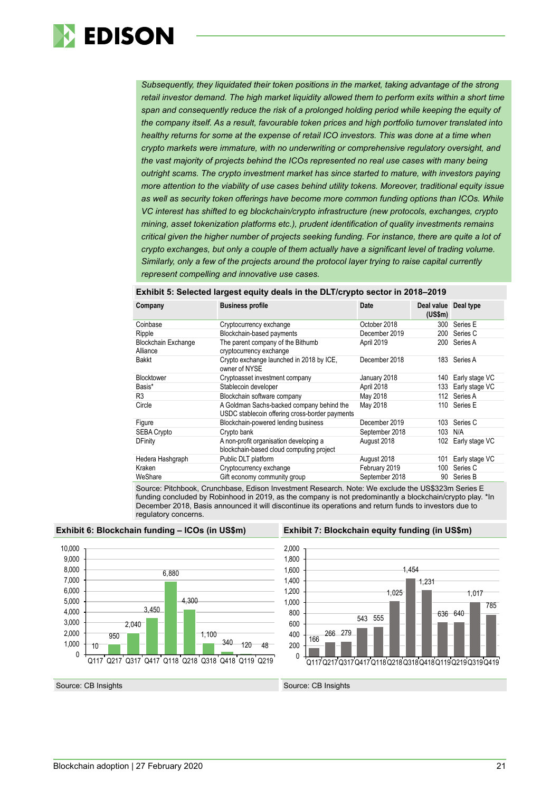

*Subsequently, they liquidated their token positions in the market, taking advantage of the strong*  retail investor demand. The high market liquidity allowed them to perform exits within a short time *span and consequently reduce the risk of a prolonged holding period while keeping the equity of the company itself. As a result, favourable token prices and high portfolio turnover translated into healthy returns for some at the expense of retail ICO investors. This was done at a time when crypto markets were immature, with no underwriting or comprehensive regulatory oversight, and the vast majority of projects behind the ICOs represented no real use cases with many being outright scams. The crypto investment market has since started to mature, with investors paying more attention to the viability of use cases behind utility tokens. Moreover, traditional equity issue as well as security token offerings have become more common funding options than ICOs. While VC interest has shifted to eg blockchain/crypto infrastructure (new protocols, exchanges, crypto mining, asset tokenization platforms etc.), prudent identification of quality investments remains critical given the higher number of projects seeking funding. For instance, there are quite a lot of crypto exchanges, but only a couple of them actually have a significant level of trading volume. Similarly, only a few of the projects around the protocol layer trying to raise capital currently represent compelling and innovative use cases.*

| Company                                | <b>Business profile</b>                                                                                                                                                                                                                                                   | <b>Date</b>    | Deal value Deal type<br>$(US\$ fm $)$ |                    |
|----------------------------------------|---------------------------------------------------------------------------------------------------------------------------------------------------------------------------------------------------------------------------------------------------------------------------|----------------|---------------------------------------|--------------------|
| Coinbase                               | Cryptocurrency exchange                                                                                                                                                                                                                                                   | October 2018   | 300                                   | Series E           |
| Ripple                                 | Blockchain-based payments                                                                                                                                                                                                                                                 | December 2019  | 200                                   | Series C           |
| <b>Blockchain Exchange</b><br>Alliance | The parent company of the Bithumb<br>cryptocurrency exchange                                                                                                                                                                                                              | April 2019     | 200                                   | Series A           |
| <b>Bakkt</b>                           | Crypto exchange launched in 2018 by ICE,<br>owner of NYSE                                                                                                                                                                                                                 | December 2018  |                                       | 183 Series A       |
| <b>Blocktower</b>                      | Cryptoasset investment company                                                                                                                                                                                                                                            | January 2018   | 140                                   | Early stage VC     |
| Basis*                                 | Stablecoin developer                                                                                                                                                                                                                                                      | April 2018     | 133                                   | Early stage VC     |
| R <sub>3</sub>                         | Blockchain software company                                                                                                                                                                                                                                               | May 2018       | 112                                   | Series A           |
| Circle                                 | A Goldman Sachs-backed company behind the<br>USDC stablecoin offering cross-border payments                                                                                                                                                                               | May 2018       | 110                                   | Series E           |
| Figure                                 | Blockchain-powered lending business                                                                                                                                                                                                                                       | December 2019  |                                       | 103 Series C       |
| <b>SEBA Crypto</b>                     | Crypto bank                                                                                                                                                                                                                                                               | September 2018 | 103                                   | N/A                |
| <b>DFinity</b>                         | A non-profit organisation developing a<br>blockchain-based cloud computing project                                                                                                                                                                                        | August 2018    |                                       | 102 Early stage VC |
| Hedera Hashgraph                       | Public DLT platform                                                                                                                                                                                                                                                       | August 2018    | 101                                   | Early stage VC     |
| Kraken                                 | Cryptocurrency exchange                                                                                                                                                                                                                                                   | February 2019  | 100                                   | Series C           |
| WeShare                                | Gift economy community group                                                                                                                                                                                                                                              | September 2018 | 90                                    | Series B           |
| $\sim$ $\sim$ $\sim$                   | $\mathbf{r}$ . The $\mathbf{r}$ is the $\mathbf{r}$ such that $\mathbf{r}$ is the set of $\mathbf{r}$ is the set of $\mathbf{r}$ is the set of $\mathbf{r}$ is the set of $\mathbf{r}$ is the set of $\mathbf{r}$ is the set of $\mathbf{r}$ is the set of $\mathbf{r}$ i |                |                                       |                    |

#### **Exhibit 5: Selected largest equity deals in the DLT/crypto sector in 2018–2019**

Source: Pitchbook, Crunchbase, Edison Investment Research. Note: We exclude the US\$323m Series E funding concluded by Robinhood in 2019, as the company is not predominantly a blockchain/crypto play. \*In December 2018, Basis announced it will discontinue its operations and return funds to investors due to regulatory concerns.

<span id="page-20-0"></span>





Source: CB Insights Source: CB Insights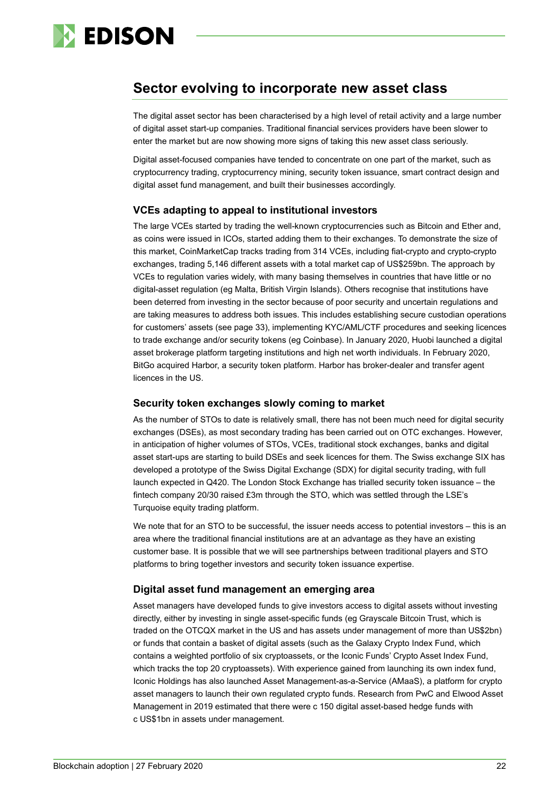

# **Sector evolving to incorporate new asset class**

The digital asset sector has been characterised by a high level of retail activity and a large number of digital asset start-up companies. Traditional financial services providers have been slower to enter the market but are now showing more signs of taking this new asset class seriously.

Digital asset-focused companies have tended to concentrate on one part of the market, such as cryptocurrency trading, cryptocurrency mining, security token issuance, smart contract design and digital asset fund management, and built their businesses accordingly.

#### **VCEs adapting to appeal to institutional investors**

The large VCEs started by trading the well-known cryptocurrencies such as Bitcoin and Ether and, as coins were issued in ICOs, started adding them to their exchanges. To demonstrate the size of this market, CoinMarketCap tracks trading from 314 VCEs, including fiat-crypto and crypto-crypto exchanges, trading 5,146 different assets with a total market cap of US\$259bn. The approach by VCEs to regulation varies widely, with many basing themselves in countries that have little or no digital-asset regulation (eg Malta, British Virgin Islands). Others recognise that institutions have been deterred from investing in the sector because of poor security and uncertain regulations and are taking measures to address both issues. This includes establishing secure custodian operations for customers' assets (see page 33), implementing KYC/AML/CTF procedures and seeking licences to trade exchange and/or security tokens (eg Coinbase). In January 2020, Huobi launched a digital asset brokerage platform targeting institutions and high net worth individuals. In February 2020, BitGo acquired Harbor, a security token platform. Harbor has broker-dealer and transfer agent licences in the US.

#### **Security token exchanges slowly coming to market**

As the number of STOs to date is relatively small, there has not been much need for digital security exchanges (DSEs), as most secondary trading has been carried out on OTC exchanges. However, in anticipation of higher volumes of STOs, VCEs, traditional stock exchanges, banks and digital asset start-ups are starting to build DSEs and seek licences for them. The Swiss exchange SIX has developed a prototype of the Swiss Digital Exchange (SDX) for digital security trading, with full launch expected in Q420. The London Stock Exchange has trialled security token issuance – the fintech company 20/30 raised £3m through the STO, which was settled through the LSE's Turquoise equity trading platform.

We note that for an STO to be successful, the issuer needs access to potential investors – this is an area where the traditional financial institutions are at an advantage as they have an existing customer base. It is possible that we will see partnerships between traditional players and STO platforms to bring together investors and security token issuance expertise.

#### **Digital asset fund management an emerging area**

Asset managers have developed funds to give investors access to digital assets without investing directly, either by investing in single asset-specific funds (eg Grayscale Bitcoin Trust, which is traded on the OTCQX market in the US and has assets under management of more than US\$2bn) or funds that contain a basket of digital assets (such as the Galaxy Crypto Index Fund, which contains a weighted portfolio of six cryptoassets, or the Iconic Funds' Crypto Asset Index Fund, which tracks the top 20 cryptoassets). With experience gained from launching its own index fund, Iconic Holdings has also launched Asset Management-as-a-Service (AMaaS), a platform for crypto asset managers to launch their own regulated crypto funds. Research from PwC and Elwood Asset Management in 2019 estimated that there were c 150 digital asset-based hedge funds with c US\$1bn in assets under management.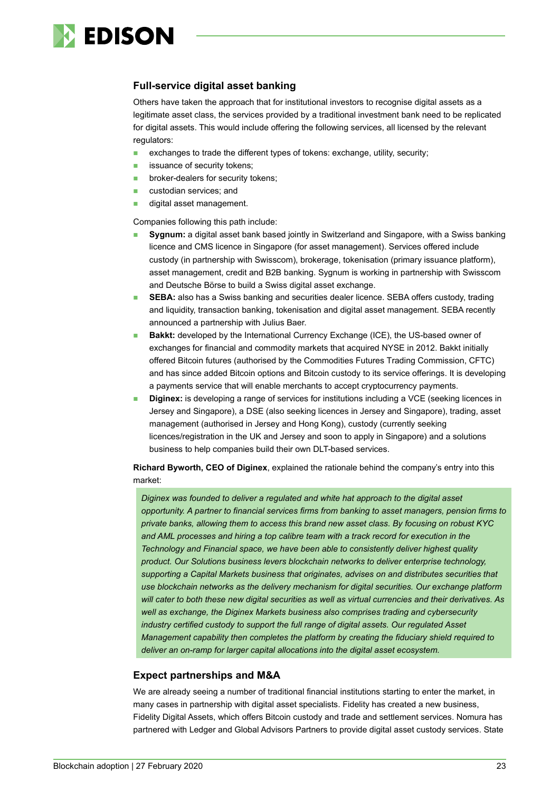

#### **Full-service digital asset banking**

Others have taken the approach that for institutional investors to recognise digital assets as a legitimate asset class, the services provided by a traditional investment bank need to be replicated for digital assets. This would include offering the following services, all licensed by the relevant regulators:

- exchanges to trade the different types of tokens: exchange, utility, security;
- **i** issuance of security tokens:
- broker-dealers for security tokens;
- **custodian services; and**
- digital asset management.

Companies following this path include:

- **Sygnum:** a digital asset bank based jointly in Switzerland and Singapore, with a Swiss banking licence and CMS licence in Singapore (for asset management). Services offered include custody (in partnership with Swisscom), brokerage, tokenisation (primary issuance platform), asset management, credit and B2B banking. Sygnum is working in partnership with Swisscom and Deutsche Börse to build a Swiss digital asset exchange.
- **SEBA:** also has a Swiss banking and securities dealer licence. SEBA offers custody, trading and liquidity, transaction banking, tokenisation and digital asset management. SEBA recently announced a partnership with Julius Baer.
- **Bakkt:** developed by the International Currency Exchange (ICE), the US-based owner of exchanges for financial and commodity markets that acquired NYSE in 2012. Bakkt initially offered Bitcoin futures (authorised by the Commodities Futures Trading Commission, CFTC) and has since added Bitcoin options and Bitcoin custody to its service offerings. It is developing a payments service that will enable merchants to accept cryptocurrency payments.
- **Diginex:** is developing a range of services for institutions including a VCE (seeking licences in Jersey and Singapore), a DSE (also seeking licences in Jersey and Singapore), trading, asset management (authorised in Jersey and Hong Kong), custody (currently seeking licences/registration in the UK and Jersey and soon to apply in Singapore) and a solutions business to help companies build their own DLT-based services.

**Richard Byworth, CEO of Diginex**, explained the rationale behind the company's entry into this market:

*Diginex was founded to deliver a regulated and white hat approach to the digital asset opportunity. A partner to financial services firms from banking to asset managers, pension firms to private banks, allowing them to access this brand new asset class. By focusing on robust KYC and AML processes and hiring a top calibre team with a track record for execution in the Technology and Financial space, we have been able to consistently deliver highest quality product. Our Solutions business levers blockchain networks to deliver enterprise technology, supporting a Capital Markets business that originates, advises on and distributes securities that use blockchain networks as the delivery mechanism for digital securities. Our exchange platform will cater to both these new digital securities as well as virtual currencies and their derivatives. As well as exchange, the Diginex Markets business also comprises trading and cybersecurity industry certified custody to support the full range of digital assets. Our regulated Asset Management capability then completes the platform by creating the fiduciary shield required to deliver an on-ramp for larger capital allocations into the digital asset ecosystem.*

#### **Expect partnerships and M&A**

We are already seeing a number of traditional financial institutions starting to enter the market, in many cases in partnership with digital asset specialists. Fidelity has created a new business, Fidelity Digital Assets, which offers Bitcoin custody and trade and settlement services. Nomura has partnered with Ledger and Global Advisors Partners to provide digital asset custody services. State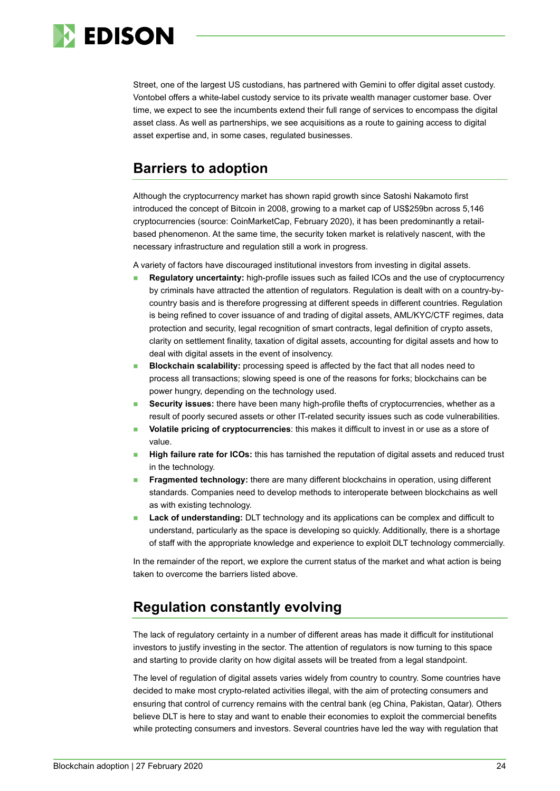

Street, one of the largest US custodians, has partnered with Gemini to offer digital asset custody. Vontobel offers a white-label custody service to its private wealth manager customer base. Over time, we expect to see the incumbents extend their full range of services to encompass the digital asset class. As well as partnerships, we see acquisitions as a route to gaining access to digital asset expertise and, in some cases, regulated businesses.

# <span id="page-23-0"></span>**Barriers to adoption**

Although the cryptocurrency market has shown rapid growth since Satoshi Nakamoto first introduced the concept of Bitcoin in 2008, growing to a market cap of US\$259bn across 5,146 cryptocurrencies (source: CoinMarketCap, February 2020), it has been predominantly a retailbased phenomenon. At the same time, the security token market is relatively nascent, with the necessary infrastructure and regulation still a work in progress.

A variety of factors have discouraged institutional investors from investing in digital assets.

- **Regulatory uncertainty:** high-profile issues such as failed ICOs and the use of cryptocurrency by criminals have attracted the attention of regulators. Regulation is dealt with on a country-bycountry basis and is therefore progressing at different speeds in different countries. Regulation is being refined to cover issuance of and trading of digital assets, AML/KYC/CTF regimes, data protection and security, legal recognition of smart contracts, legal definition of crypto assets, clarity on settlement finality, taxation of digital assets, accounting for digital assets and how to deal with digital assets in the event of insolvency.
- **Blockchain scalability:** processing speed is affected by the fact that all nodes need to process all transactions; slowing speed is one of the reasons for forks; blockchains can be power hungry, depending on the technology used.
- **Security issues:** there have been many high-profile thefts of cryptocurrencies, whether as a result of poorly secured assets or other IT-related security issues such as code vulnerabilities.
- **Volatile pricing of cryptocurrencies**: this makes it difficult to invest in or use as a store of value.
- **High failure rate for ICOs:** this has tarnished the reputation of digital assets and reduced trust in the technology.
- **Fragmented technology:** there are many different blockchains in operation, using different standards. Companies need to develop methods to interoperate between blockchains as well as with existing technology.
- **Lack of understanding:** DLT technology and its applications can be complex and difficult to understand, particularly as the space is developing so quickly. Additionally, there is a shortage of staff with the appropriate knowledge and experience to exploit DLT technology commercially.

In the remainder of the report, we explore the current status of the market and what action is being taken to overcome the barriers listed above.

# <span id="page-23-1"></span>**Regulation constantly evolving**

The lack of regulatory certainty in a number of different areas has made it difficult for institutional investors to justify investing in the sector. The attention of regulators is now turning to this space and starting to provide clarity on how digital assets will be treated from a legal standpoint.

The level of regulation of digital assets varies widely from country to country. Some countries have decided to make most crypto-related activities illegal, with the aim of protecting consumers and ensuring that control of currency remains with the central bank (eg China, Pakistan, Qatar). Others believe DLT is here to stay and want to enable their economies to exploit the commercial benefits while protecting consumers and investors. Several countries have led the way with regulation that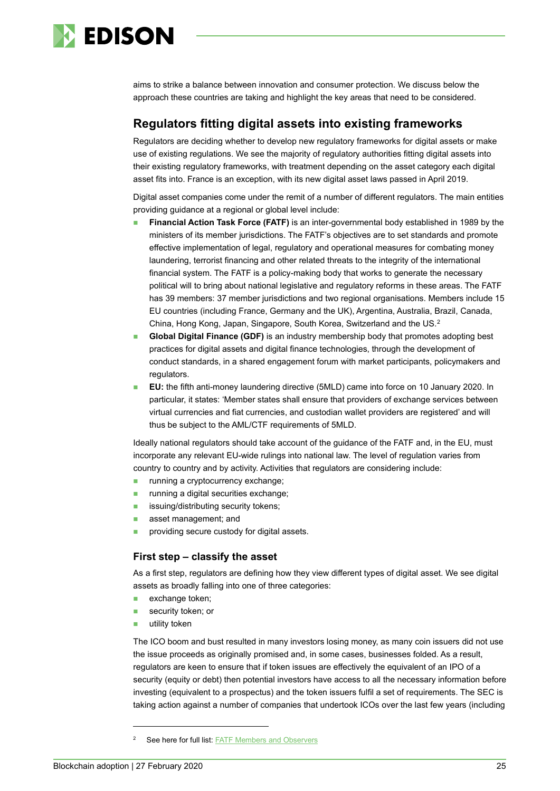

aims to strike a balance between innovation and consumer protection. We discuss below the approach these countries are taking and highlight the key areas that need to be considered.

### **Regulators fitting digital assets into existing frameworks**

Regulators are deciding whether to develop new regulatory frameworks for digital assets or make use of existing regulations. We see the majority of regulatory authorities fitting digital assets into their existing regulatory frameworks, with treatment depending on the asset category each digital asset fits into. France is an exception, with its new digital asset laws passed in April 2019.

Digital asset companies come under the remit of a number of different regulators. The main entities providing guidance at a regional or global level include:

- **Financial Action Task Force (FATF)** is an inter-governmental body established in 1989 by the ministers of its member jurisdictions. The FATF's objectives are to set standards and promote effective implementation of legal, regulatory and operational measures for combating money laundering, terrorist financing and other related threats to the integrity of the international financial system. The FATF is a policy-making body that works to generate the necessary political will to bring about national legislative and regulatory reforms in these areas. The FATF has 39 members: 37 member jurisdictions and two regional organisations. Members include 15 EU countries (including France, Germany and the UK), Argentina, Australia, Brazil, Canada, China, Hong Kong, Japan, Singapore, South Korea, Switzerland and the US. [2](#page-24-0)
- **Global Digital Finance (GDF)** is an industry membership body that promotes adopting best practices for digital assets and digital finance technologies, through the development of conduct standards, in a shared engagement forum with market participants, policymakers and regulators.
- **EU:** the fifth anti-money laundering directive (5MLD) came into force on 10 January 2020. In particular, it states: 'Member states shall ensure that providers of exchange services between virtual currencies and fiat currencies, and custodian wallet providers are registered' and will thus be subject to the AML/CTF requirements of 5MLD.

Ideally national regulators should take account of the guidance of the FATF and, in the EU, must incorporate any relevant EU-wide rulings into national law. The level of regulation varies from country to country and by activity. Activities that regulators are considering include:

- **running a cryptocurrency exchange;**
- **running a digital securities exchange;**
- **issuing/distributing security tokens;**
- asset management; and
- **providing secure custody for digital assets.**

#### **First step – classify the asset**

As a first step, regulators are defining how they view different types of digital asset. We see digital assets as broadly falling into one of three categories:

- exchange token;
- security token; or
- utility token

The ICO boom and bust resulted in many investors losing money, as many coin issuers did not use the issue proceeds as originally promised and, in some cases, businesses folded. As a result, regulators are keen to ensure that if token issues are effectively the equivalent of an IPO of a security (equity or debt) then potential investors have access to all the necessary information before investing (equivalent to a prospectus) and the token issuers fulfil a set of requirements. The SEC is taking action against a number of companies that undertook ICOs over the last few years (including

<span id="page-24-0"></span>See here for full list: [FATF Members and Observers](https://www.fatf-gafi.org/about/membersandobservers/)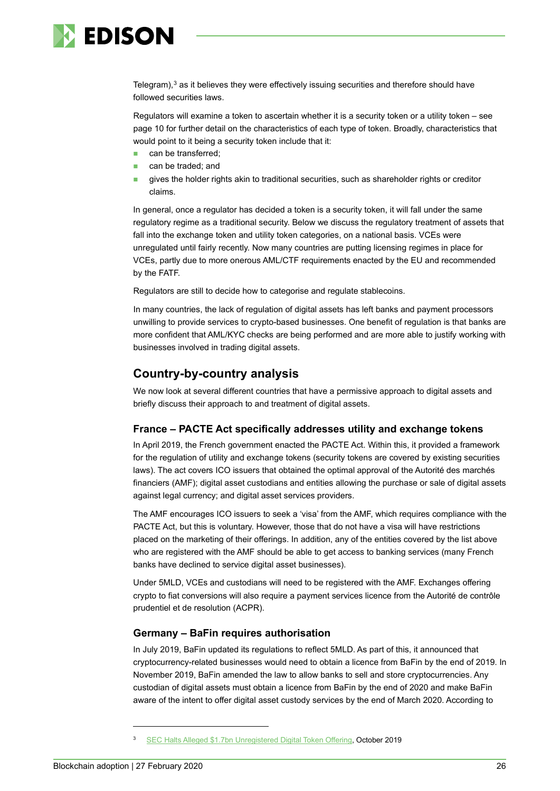

Telegram), $3$  as it believes they were effectively issuing securities and therefore should have followed securities laws.

Regulators will examine a token to ascertain whether it is a security token or a utility token – see page 10 for further detail on the characteristics of each type of token. Broadly, characteristics that would point to it being a security token include that it:

- can be transferred;
- can be traded; and
- gives the holder rights akin to traditional securities, such as shareholder rights or creditor claims.

In general, once a regulator has decided a token is a security token, it will fall under the same regulatory regime as a traditional security. Below we discuss the regulatory treatment of assets that fall into the exchange token and utility token categories, on a national basis. VCEs were unregulated until fairly recently. Now many countries are putting licensing regimes in place for VCEs, partly due to more onerous AML/CTF requirements enacted by the EU and recommended by the FATF.

Regulators are still to decide how to categorise and regulate stablecoins.

In many countries, the lack of regulation of digital assets has left banks and payment processors unwilling to provide services to crypto-based businesses. One benefit of regulation is that banks are more confident that AML/KYC checks are being performed and are more able to justify working with businesses involved in trading digital assets.

# **Country-by-country analysis**

We now look at several different countries that have a permissive approach to digital assets and briefly discuss their approach to and treatment of digital assets.

#### **France – PACTE Act specifically addresses utility and exchange tokens**

In April 2019, the French government enacted the PACTE Act. Within this, it provided a framework for the regulation of utility and exchange tokens (security tokens are covered by existing securities laws). The act covers ICO issuers that obtained the optimal approval of the Autorité des marchés financiers (AMF); digital asset custodians and entities allowing the purchase or sale of digital assets against legal currency; and digital asset services providers.

The AMF encourages ICO issuers to seek a 'visa' from the AMF, which requires compliance with the PACTE Act, but this is voluntary. However, those that do not have a visa will have restrictions placed on the marketing of their offerings. In addition, any of the entities covered by the list above who are registered with the AMF should be able to get access to banking services (many French banks have declined to service digital asset businesses).

Under 5MLD, VCEs and custodians will need to be registered with the AMF. Exchanges offering crypto to fiat conversions will also require a payment services licence from the Autorité de contrôle prudentiel et de resolution (ACPR).

#### **Germany – BaFin requires authorisation**

In July 2019, BaFin updated its regulations to reflect 5MLD. As part of this, it announced that cryptocurrency-related businesses would need to obtain a licence from BaFin by the end of 2019. In November 2019, BaFin amended the law to allow banks to sell and store cryptocurrencies. Any custodian of digital assets must obtain a licence from BaFin by the end of 2020 and make BaFin aware of the intent to offer digital asset custody services by the end of March 2020. According to

<span id="page-25-0"></span><sup>3</sup> [SEC Halts Alleged \\$1.7bn Unregistered Digital Token Offering,](https://www.sec.gov/news/press-release/2019-212) October 2019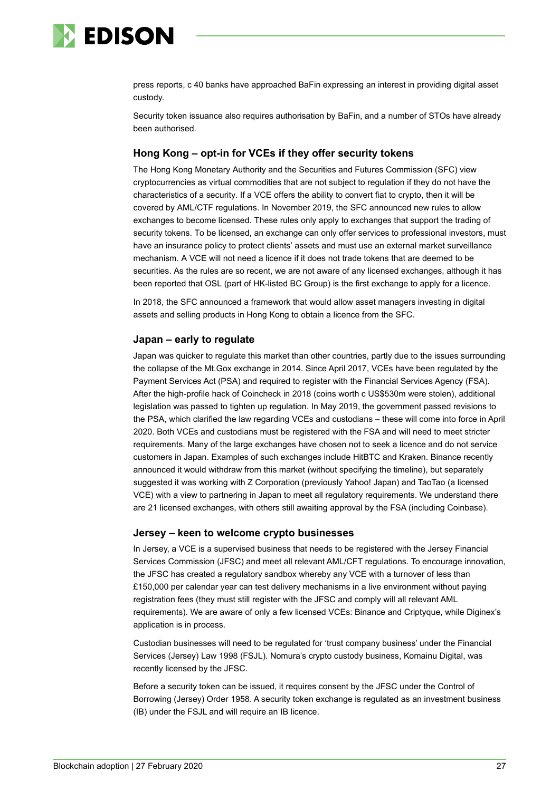

press reports, c 40 banks have approached BaFin expressing an interest in providing digital asset custody.

Security token issuance also requires authorisation by BaFin, and a number of STOs have already been authorised.

#### **Hong Kong – opt-in for VCEs if they offer security tokens**

The Hong Kong Monetary Authority and the Securities and Futures Commission (SFC) view cryptocurrencies as virtual commodities that are not subject to regulation if they do not have the characteristics of a security. If a VCE offers the ability to convert fiat to crypto, then it will be covered by AML/CTF regulations. In November 2019, the SFC announced new rules to allow exchanges to become licensed. These rules only apply to exchanges that support the trading of security tokens. To be licensed, an exchange can only offer services to professional investors, must have an insurance policy to protect clients' assets and must use an external market surveillance mechanism. A VCE will not need a licence if it does not trade tokens that are deemed to be securities. As the rules are so recent, we are not aware of any licensed exchanges, although it has been reported that OSL (part of HK-listed BC Group) is the first exchange to apply for a licence.

In 2018, the SFC announced a framework that would allow asset managers investing in digital assets and selling products in Hong Kong to obtain a licence from the SFC.

#### **Japan – early to regulate**

Japan was quicker to regulate this market than other countries, partly due to the issues surrounding the collapse of the Mt.Gox exchange in 2014. Since April 2017, VCEs have been regulated by the Payment Services Act (PSA) and required to register with the Financial Services Agency (FSA). After the high-profile hack of Coincheck in 2018 (coins worth c US\$530m were stolen), additional legislation was passed to tighten up regulation. In May 2019, the government passed revisions to the PSA, which clarified the law regarding VCEs and custodians – these will come into force in April 2020. Both VCEs and custodians must be registered with the FSA and will need to meet stricter requirements. Many of the large exchanges have chosen not to seek a licence and do not service customers in Japan. Examples of such exchanges include HitBTC and Kraken. Binance recently announced it would withdraw from this market (without specifying the timeline), but separately suggested it was working with Z Corporation (previously Yahoo! Japan) and TaoTao (a licensed VCE) with a view to partnering in Japan to meet all regulatory requirements. We understand there are 21 licensed exchanges, with others still awaiting approval by the FSA (including Coinbase).

#### **Jersey – keen to welcome crypto businesses**

In Jersey, a VCE is a supervised business that needs to be registered with the Jersey Financial Services Commission (JFSC) and meet all relevant AML/CFT regulations. To encourage innovation, the JFSC has created a regulatory sandbox whereby any VCE with a turnover of less than £150,000 per calendar year can test delivery mechanisms in a live environment without paying registration fees (they must still register with the JFSC and comply will all relevant AML requirements). We are aware of only a few licensed VCEs: Binance and Criptyque, while Diginex's application is in process.

Custodian businesses will need to be regulated for 'trust company business' under the Financial Services (Jersey) Law 1998 (FSJL). Nomura's crypto custody business, Komainu Digital, was recently licensed by the JFSC.

Before a security token can be issued, it requires consent by the JFSC under the Control of Borrowing (Jersey) Order 1958. A security token exchange is regulated as an investment business (IB) under the FSJL and will require an IB licence.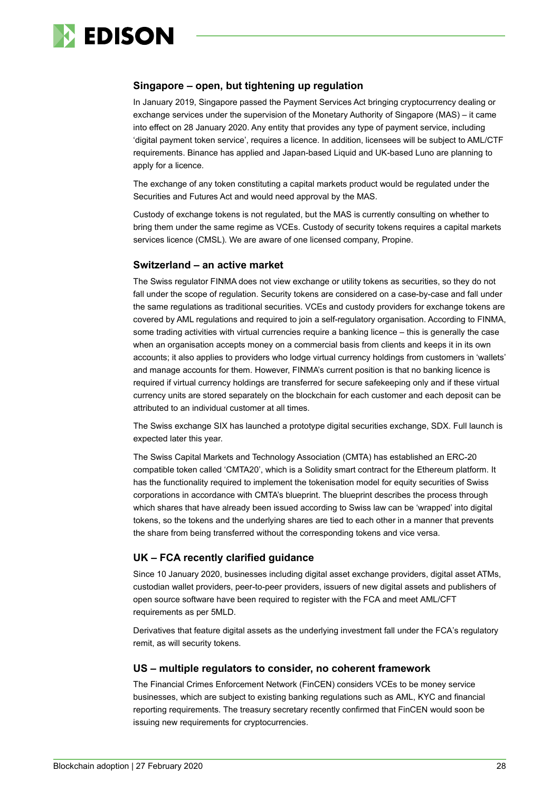

#### **Singapore – open, but tightening up regulation**

In January 2019, Singapore passed the Payment Services Act bringing cryptocurrency dealing or exchange services under the supervision of the Monetary Authority of Singapore (MAS) – it came into effect on 28 January 2020. Any entity that provides any type of payment service, including 'digital payment token service', requires a licence. In addition, licensees will be subject to AML/CTF requirements. Binance has applied and Japan-based Liquid and UK-based Luno are planning to apply for a licence.

The exchange of any token constituting a capital markets product would be regulated under the Securities and Futures Act and would need approval by the MAS.

Custody of exchange tokens is not regulated, but the MAS is currently consulting on whether to bring them under the same regime as VCEs. Custody of security tokens requires a capital markets services licence (CMSL). We are aware of one licensed company, Propine.

#### **Switzerland – an active market**

The Swiss regulator FINMA does not view exchange or utility tokens as securities, so they do not fall under the scope of regulation. Security tokens are considered on a case-by-case and fall under the same regulations as traditional securities. VCEs and custody providers for exchange tokens are covered by AML regulations and required to join a self-regulatory organisation. According to FINMA, some trading activities with virtual currencies require a banking licence – this is generally the case when an organisation accepts money on a commercial basis from clients and keeps it in its own accounts; it also applies to providers who lodge virtual currency holdings from customers in 'wallets' and manage accounts for them. However, FINMA's current position is that no banking licence is required if virtual currency holdings are transferred for secure safekeeping only and if these virtual currency units are stored separately on the blockchain for each customer and each deposit can be attributed to an individual customer at all times.

The Swiss exchange SIX has launched a prototype digital securities exchange, SDX. Full launch is expected later this year.

The Swiss Capital Markets and Technology Association (CMTA) has established an ERC-20 compatible token called 'CMTA20', which is a Solidity smart contract for the Ethereum platform. It has the functionality required to implement the tokenisation model for equity securities of Swiss corporations in accordance with CMTA's blueprint. The blueprint describes the process through which shares that have already been issued according to Swiss law can be 'wrapped' into digital tokens, so the tokens and the underlying shares are tied to each other in a manner that prevents the share from being transferred without the corresponding tokens and vice versa.

#### **UK – FCA recently clarified guidance**

Since 10 January 2020, businesses including digital asset exchange providers, digital asset ATMs, custodian wallet providers, peer-to-peer providers, issuers of new digital assets and publishers of open source software have been required to register with the FCA and meet AML/CFT requirements as per 5MLD.

Derivatives that feature digital assets as the underlying investment fall under the FCA's regulatory remit, as will security tokens.

#### **US – multiple regulators to consider, no coherent framework**

The Financial Crimes Enforcement Network (FinCEN) considers VCEs to be money service businesses, which are subject to existing banking regulations such as AML, KYC and financial reporting requirements. The treasury secretary recently confirmed that FinCEN would soon be issuing new requirements for cryptocurrencies.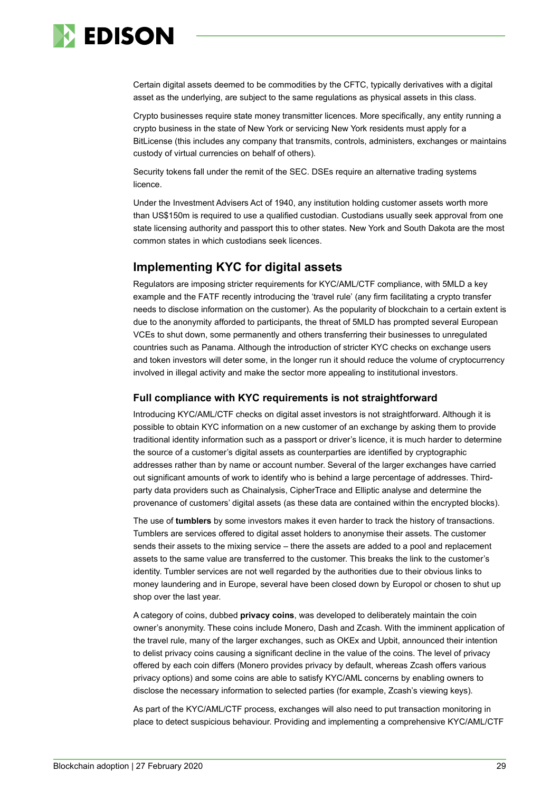

Certain digital assets deemed to be commodities by the CFTC, typically derivatives with a digital asset as the underlying, are subject to the same regulations as physical assets in this class.

Crypto businesses require state money transmitter licences. More specifically, any entity running a crypto business in the state of New York or servicing New York residents must apply for a BitLicense (this includes any company that transmits, controls, administers, exchanges or maintains custody of virtual currencies on behalf of others).

Security tokens fall under the remit of the SEC. DSEs require an alternative trading systems licence.

Under the Investment Advisers Act of 1940, any institution holding customer assets worth more than US\$150m is required to use a qualified custodian. Custodians usually seek approval from one state licensing authority and passport this to other states. New York and South Dakota are the most common states in which custodians seek licences.

# **Implementing KYC for digital assets**

Regulators are imposing stricter requirements for KYC/AML/CTF compliance, with 5MLD a key example and the FATF recently introducing the 'travel rule' (any firm facilitating a crypto transfer needs to disclose information on the customer). As the popularity of blockchain to a certain extent is due to the anonymity afforded to participants, the threat of 5MLD has prompted several European VCEs to shut down, some permanently and others transferring their businesses to unregulated countries such as Panama. Although the introduction of stricter KYC checks on exchange users and token investors will deter some, in the longer run it should reduce the volume of cryptocurrency involved in illegal activity and make the sector more appealing to institutional investors.

#### **Full compliance with KYC requirements is not straightforward**

Introducing KYC/AML/CTF checks on digital asset investors is not straightforward. Although it is possible to obtain KYC information on a new customer of an exchange by asking them to provide traditional identity information such as a passport or driver's licence, it is much harder to determine the source of a customer's digital assets as counterparties are identified by cryptographic addresses rather than by name or account number. Several of the larger exchanges have carried out significant amounts of work to identify who is behind a large percentage of addresses. Thirdparty data providers such as Chainalysis, CipherTrace and Elliptic analyse and determine the provenance of customers' digital assets (as these data are contained within the encrypted blocks).

The use of **tumblers** by some investors makes it even harder to track the history of transactions. Tumblers are services offered to digital asset holders to anonymise their assets. The customer sends their assets to the mixing service – there the assets are added to a pool and replacement assets to the same value are transferred to the customer. This breaks the link to the customer's identity. Tumbler services are not well regarded by the authorities due to their obvious links to money laundering and in Europe, several have been closed down by Europol or chosen to shut up shop over the last year.

A category of coins, dubbed **privacy coins**, was developed to deliberately maintain the coin owner's anonymity. These coins include Monero, Dash and Zcash. With the imminent application of the travel rule, many of the larger exchanges, such as OKEx and Upbit, announced their intention to delist privacy coins causing a significant decline in the value of the coins. The level of privacy offered by each coin differs (Monero provides privacy by default, whereas Zcash offers various privacy options) and some coins are able to satisfy KYC/AML concerns by enabling owners to disclose the necessary information to selected parties (for example, Zcash's viewing keys).

As part of the KYC/AML/CTF process, exchanges will also need to put transaction monitoring in place to detect suspicious behaviour. Providing and implementing a comprehensive KYC/AML/CTF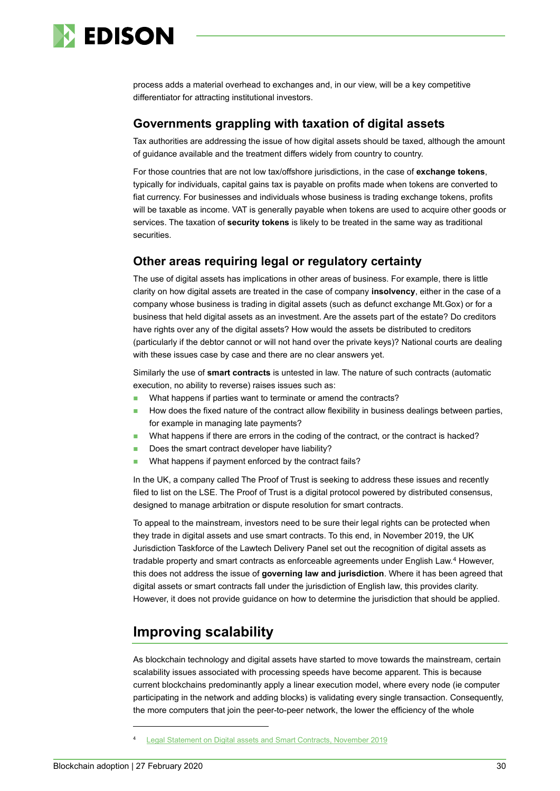

process adds a material overhead to exchanges and, in our view, will be a key competitive differentiator for attracting institutional investors.

### **Governments grappling with taxation of digital assets**

Tax authorities are addressing the issue of how digital assets should be taxed, although the amount of guidance available and the treatment differs widely from country to country.

For those countries that are not low tax/offshore jurisdictions, in the case of **exchange tokens**, typically for individuals, capital gains tax is payable on profits made when tokens are converted to fiat currency. For businesses and individuals whose business is trading exchange tokens, profits will be taxable as income. VAT is generally payable when tokens are used to acquire other goods or services. The taxation of **security tokens** is likely to be treated in the same way as traditional securities.

### **Other areas requiring legal or regulatory certainty**

The use of digital assets has implications in other areas of business. For example, there is little clarity on how digital assets are treated in the case of company **insolvency**, either in the case of a company whose business is trading in digital assets (such as defunct exchange Mt.Gox) or for a business that held digital assets as an investment. Are the assets part of the estate? Do creditors have rights over any of the digital assets? How would the assets be distributed to creditors (particularly if the debtor cannot or will not hand over the private keys)? National courts are dealing with these issues case by case and there are no clear answers yet.

Similarly the use of **smart contracts** is untested in law. The nature of such contracts (automatic execution, no ability to reverse) raises issues such as:

- What happens if parties want to terminate or amend the contracts?
- How does the fixed nature of the contract allow flexibility in business dealings between parties, for example in managing late payments?
- What happens if there are errors in the coding of the contract, or the contract is hacked?
- Does the smart contract developer have liability?
- What happens if payment enforced by the contract fails?

In the UK, a company called The Proof of Trust is seeking to address these issues and recently filed to list on the LSE. The Proof of Trust is a digital protocol powered by distributed consensus, designed to manage arbitration or dispute resolution for smart contracts.

To appeal to the mainstream, investors need to be sure their legal rights can be protected when they trade in digital assets and use smart contracts. To this end, in November 2019, the UK Jurisdiction Taskforce of the Lawtech Delivery Panel set out the recognition of digital assets as tradable property and smart contracts as enforceable agreements under English Law. [4](#page-29-1) However, this does not address the issue of **governing law and jurisdiction**. Where it has been agreed that digital assets or smart contracts fall under the jurisdiction of English law, this provides clarity. However, it does not provide guidance on how to determine the jurisdiction that should be applied.

# <span id="page-29-0"></span>**Improving scalability**

As blockchain technology and digital assets have started to move towards the mainstream, certain scalability issues associated with processing speeds have become apparent. This is because current blockchains predominantly apply a linear execution model, where every node (ie computer participating in the network and adding blocks) is validating every single transaction. Consequently, the more computers that join the peer-to-peer network, the lower the efficiency of the whole

<span id="page-29-1"></span>[Legal Statement on Digital assets and Smart Contracts, November 2019](https://35z8e83m1ih83drye280o9d1-wpengine.netdna-ssl.com/wp-content/uploads/2019/11/6.6056_JO_Cryptocurrencies_Statement_FINAL_WEB_111119-1.pdf)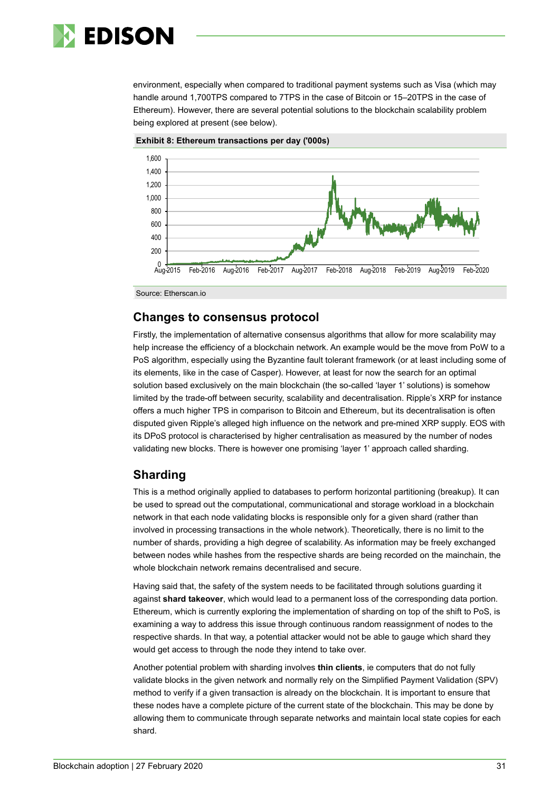

environment, especially when compared to traditional payment systems such as Visa (which may handle around 1,700TPS compared to 7TPS in the case of Bitcoin or 15–20TPS in the case of Ethereum). However, there are several potential solutions to the blockchain scalability problem being explored at present (see below).





Source: Etherscan.io

### **Changes to consensus protocol**

Firstly, the implementation of alternative consensus algorithms that allow for more scalability may help increase the efficiency of a blockchain network. An example would be the move from PoW to a PoS algorithm, especially using the Byzantine fault tolerant framework (or at least including some of its elements, like in the case of Casper). However, at least for now the search for an optimal solution based exclusively on the main blockchain (the so-called 'layer 1' solutions) is somehow limited by the trade-off between security, scalability and decentralisation. Ripple's XRP for instance offers a much higher TPS in comparison to Bitcoin and Ethereum, but its decentralisation is often disputed given Ripple's alleged high influence on the network and pre-mined XRP supply. EOS with its DPoS protocol is characterised by higher centralisation as measured by the number of nodes validating new blocks. There is however one promising 'layer 1' approach called sharding.

#### **Sharding**

This is a method originally applied to databases to perform horizontal partitioning (breakup). It can be used to spread out the computational, communicational and storage workload in a blockchain network in that each node validating blocks is responsible only for a given shard (rather than involved in processing transactions in the whole network). Theoretically, there is no limit to the number of shards, providing a high degree of scalability. As information may be freely exchanged between nodes while hashes from the respective shards are being recorded on the mainchain, the whole blockchain network remains decentralised and secure.

Having said that, the safety of the system needs to be facilitated through solutions guarding it against **shard takeover**, which would lead to a permanent loss of the corresponding data portion. Ethereum, which is currently exploring the implementation of sharding on top of the shift to PoS, is examining a way to address this issue through continuous random reassignment of nodes to the respective shards. In that way, a potential attacker would not be able to gauge which shard they would get access to through the node they intend to take over.

Another potential problem with sharding involves **thin clients**, ie computers that do not fully validate blocks in the given network and normally rely on the Simplified Payment Validation (SPV) method to verify if a given transaction is already on the blockchain. It is important to ensure that these nodes have a complete picture of the current state of the blockchain. This may be done by allowing them to communicate through separate networks and maintain local state copies for each shard.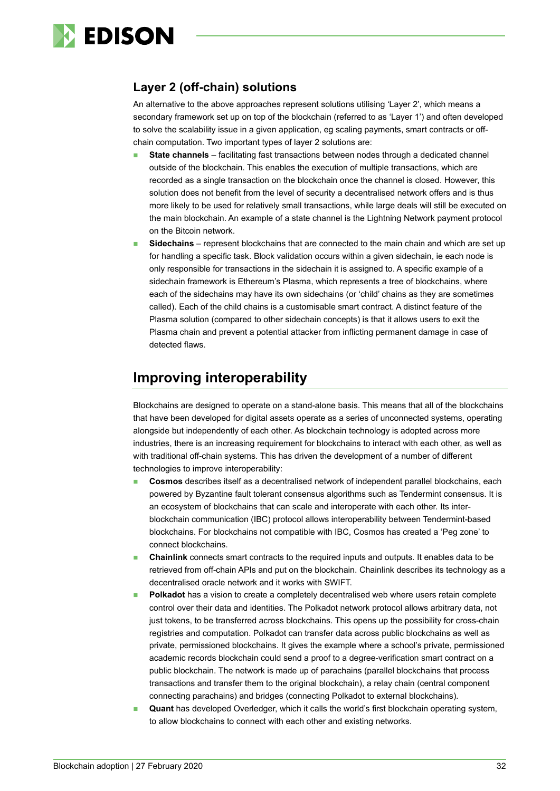

# **Layer 2 (off-chain) solutions**

An alternative to the above approaches represent solutions utilising 'Layer 2', which means a secondary framework set up on top of the blockchain (referred to as 'Layer 1') and often developed to solve the scalability issue in a given application, eg scaling payments, smart contracts or offchain computation. Two important types of layer 2 solutions are:

- **State channels** facilitating fast transactions between nodes through a dedicated channel outside of the blockchain. This enables the execution of multiple transactions, which are recorded as a single transaction on the blockchain once the channel is closed. However, this solution does not benefit from the level of security a decentralised network offers and is thus more likely to be used for relatively small transactions, while large deals will still be executed on the main blockchain. An example of a state channel is the Lightning Network payment protocol on the Bitcoin network.
- **Sidechains**  represent blockchains that are connected to the main chain and which are set up for handling a specific task. Block validation occurs within a given sidechain, ie each node is only responsible for transactions in the sidechain it is assigned to. A specific example of a sidechain framework is Ethereum's Plasma, which represents a tree of blockchains, where each of the sidechains may have its own sidechains (or 'child' chains as they are sometimes called). Each of the child chains is a customisable smart contract. A distinct feature of the Plasma solution (compared to other sidechain concepts) is that it allows users to exit the Plasma chain and prevent a potential attacker from inflicting permanent damage in case of detected flaws.

# <span id="page-31-0"></span>**Improving interoperability**

Blockchains are designed to operate on a stand-alone basis. This means that all of the blockchains that have been developed for digital assets operate as a series of unconnected systems, operating alongside but independently of each other. As blockchain technology is adopted across more industries, there is an increasing requirement for blockchains to interact with each other, as well as with traditional off-chain systems. This has driven the development of a number of different technologies to improve interoperability:

- **Cosmos** describes itself as a decentralised network of independent parallel blockchains, each powered by Byzantine fault tolerant consensus algorithms such as Tendermint consensus. It is an ecosystem of blockchains that can scale and interoperate with each other. Its interblockchain communication (IBC) protocol allows interoperability between Tendermint-based blockchains. For blockchains not compatible with IBC, Cosmos has created a 'Peg zone' to connect blockchains.
- **Chainlink** connects smart contracts to the required inputs and outputs. It enables data to be retrieved from off-chain APIs and put on the blockchain. Chainlink describes its technology as a decentralised oracle network and it works with SWIFT.
- **Polkadot** has a vision to create a completely decentralised web where users retain complete control over their data and identities. The Polkadot network protocol allows arbitrary data, not just tokens, to be transferred across blockchains. This opens up the possibility for cross-chain registries and computation. Polkadot can transfer data across public blockchains as well as private, permissioned blockchains. It gives the example where a school's private, permissioned academic records blockchain could send a proof to a degree-verification smart contract on a public blockchain. The network is made up of parachains (parallel blockchains that process transactions and transfer them to the original blockchain), a relay chain (central component connecting parachains) and bridges (connecting Polkadot to external blockchains).
- **Quant** has developed Overledger, which it calls the world's first blockchain operating system, to allow blockchains to connect with each other and existing networks.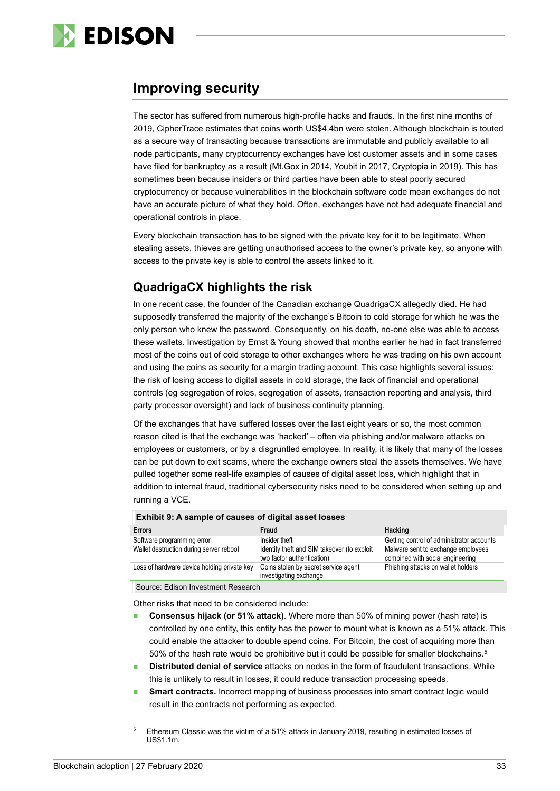

# <span id="page-32-0"></span>**Improving security**

The sector has suffered from numerous high-profile hacks and frauds. In the first nine months of 2019, CipherTrace estimates that coins worth US\$4.4bn were stolen. Although blockchain is touted as a secure way of transacting because transactions are immutable and publicly available to all node participants, many cryptocurrency exchanges have lost customer assets and in some cases have filed for bankruptcy as a result (Mt.Gox in 2014, Youbit in 2017, Cryptopia in 2019). This has sometimes been because insiders or third parties have been able to steal poorly secured cryptocurrency or because vulnerabilities in the blockchain software code mean exchanges do not have an accurate picture of what they hold. Often, exchanges have not had adequate financial and operational controls in place.

Every blockchain transaction has to be signed with the private key for it to be legitimate. When stealing assets, thieves are getting unauthorised access to the owner's private key, so anyone with access to the private key is able to control the assets linked to it.

# **QuadrigaCX highlights the risk**

In one recent case, the founder of the Canadian exchange QuadrigaCX allegedly died. He had supposedly transferred the majority of the exchange's Bitcoin to cold storage for which he was the only person who knew the password. Consequently, on his death, no-one else was able to access these wallets. Investigation by Ernst & Young showed that months earlier he had in fact transferred most of the coins out of cold storage to other exchanges where he was trading on his own account and using the coins as security for a margin trading account. This case highlights several issues: the risk of losing access to digital assets in cold storage, the lack of financial and operational controls (eg segregation of roles, segregation of assets, transaction reporting and analysis, third party processor oversight) and lack of business continuity planning.

Of the exchanges that have suffered losses over the last eight years or so, the most common reason cited is that the exchange was 'hacked' – often via phishing and/or malware attacks on employees or customers, or by a disgruntled employee. In reality, it is likely that many of the losses can be put down to exit scams, where the exchange owners steal the assets themselves. We have pulled together some real-life examples of causes of digital asset loss, which highlight that in addition to internal fraud, traditional cybersecurity risks need to be considered when setting up and running a VCE.

#### **Exhibit 9: A sample of causes of digital asset losses**

| <b>Errors</b>                               | Fraud                                                                     | Hacking                                                                |
|---------------------------------------------|---------------------------------------------------------------------------|------------------------------------------------------------------------|
| Software programming error                  | Insider theft                                                             | Getting control of administrator accounts                              |
| Wallet destruction during server reboot     | Identity theft and SIM takeover (to exploit<br>two factor authentication) | Malware sent to exchange employees<br>combined with social engineering |
| Loss of hardware device holding private key | Coins stolen by secret service agent<br>investigating exchange            | Phishing attacks on wallet holders                                     |

Source: Edison Investment Research

Other risks that need to be considered include:

- **Consensus hijack (or 51% attack)**. Where more than 50% of mining power (hash rate) is controlled by one entity, this entity has the power to mount what is known as a 51% attack. This could enable the attacker to double spend coins. For Bitcoin, the cost of acquiring more than [5](#page-32-1)0% of the hash rate would be prohibitive but it could be possible for smaller blockchains.<sup>5</sup>
- **Distributed denial of service** attacks on nodes in the form of fraudulent transactions. While this is unlikely to result in losses, it could reduce transaction processing speeds.
- **Smart contracts.** Incorrect mapping of business processes into smart contract logic would result in the contracts not performing as expected.

<span id="page-32-1"></span><sup>&</sup>lt;sup>5</sup> Ethereum Classic was the victim of a 51% attack in January 2019, resulting in estimated losses of US\$1.1m.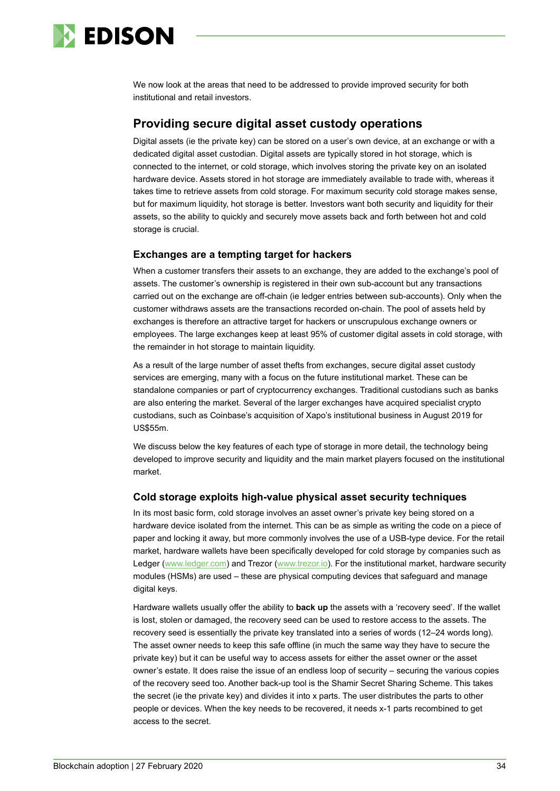

We now look at the areas that need to be addressed to provide improved security for both institutional and retail investors.

### **Providing secure digital asset custody operations**

Digital assets (ie the private key) can be stored on a user's own device, at an exchange or with a dedicated digital asset custodian. Digital assets are typically stored in hot storage, which is connected to the internet, or cold storage, which involves storing the private key on an isolated hardware device. Assets stored in hot storage are immediately available to trade with, whereas it takes time to retrieve assets from cold storage. For maximum security cold storage makes sense, but for maximum liquidity, hot storage is better. Investors want both security and liquidity for their assets, so the ability to quickly and securely move assets back and forth between hot and cold storage is crucial.

#### **Exchanges are a tempting target for hackers**

When a customer transfers their assets to an exchange, they are added to the exchange's pool of assets. The customer's ownership is registered in their own sub-account but any transactions carried out on the exchange are off-chain (ie ledger entries between sub-accounts). Only when the customer withdraws assets are the transactions recorded on-chain. The pool of assets held by exchanges is therefore an attractive target for hackers or unscrupulous exchange owners or employees. The large exchanges keep at least 95% of customer digital assets in cold storage, with the remainder in hot storage to maintain liquidity.

As a result of the large number of asset thefts from exchanges, secure digital asset custody services are emerging, many with a focus on the future institutional market. These can be standalone companies or part of cryptocurrency exchanges. Traditional custodians such as banks are also entering the market. Several of the larger exchanges have acquired specialist crypto custodians, such as Coinbase's acquisition of Xapo's institutional business in August 2019 for US\$55m.

We discuss below the key features of each type of storage in more detail, the technology being developed to improve security and liquidity and the main market players focused on the institutional market.

#### **Cold storage exploits high-value physical asset security techniques**

In its most basic form, cold storage involves an asset owner's private key being stored on a hardware device isolated from the internet. This can be as simple as writing the code on a piece of paper and locking it away, but more commonly involves the use of a USB-type device. For the retail market, hardware wallets have been specifically developed for cold storage by companies such as Ledger [\(www.ledger.com\)](http://www.ledger.com/) and Trezor [\(www.trezor.io\)](http://www.trezor.io/). For the institutional market, hardware security modules (HSMs) are used – these are physical computing devices that safeguard and manage digital keys.

Hardware wallets usually offer the ability to **back up** the assets with a 'recovery seed'. If the wallet is lost, stolen or damaged, the recovery seed can be used to restore access to the assets. The recovery seed is essentially the private key translated into a series of words (12–24 words long). The asset owner needs to keep this safe offline (in much the same way they have to secure the private key) but it can be useful way to access assets for either the asset owner or the asset owner's estate. It does raise the issue of an endless loop of security – securing the various copies of the recovery seed too. Another back-up tool is the Shamir Secret Sharing Scheme. This takes the secret (ie the private key) and divides it into x parts. The user distributes the parts to other people or devices. When the key needs to be recovered, it needs x-1 parts recombined to get access to the secret.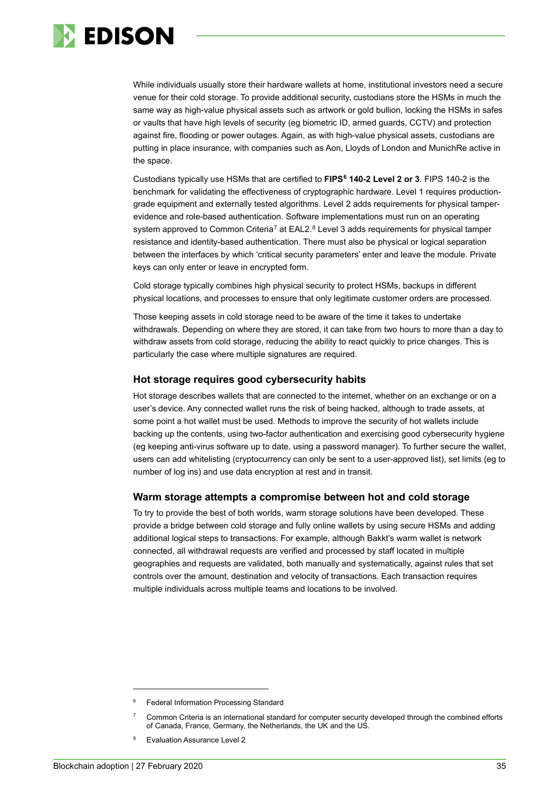

While individuals usually store their hardware wallets at home, institutional investors need a secure venue for their cold storage. To provide additional security, custodians store the HSMs in much the same way as high-value physical assets such as artwork or gold bullion, locking the HSMs in safes or vaults that have high levels of security (eg biometric ID, armed guards, CCTV) and protection against fire, flooding or power outages. Again, as with high-value physical assets, custodians are putting in place insurance, with companies such as Aon, Lloyds of London and MunichRe active in the space.

Custodians typically use HSMs that are certified to **FIPS[6](#page-34-0) 140-2 Level 2 or 3**. FIPS 140-2 is the benchmark for validating the effectiveness of cryptographic hardware. Level 1 requires productiongrade equipment and externally tested algorithms. Level 2 adds requirements for physical tamperevidence and role-based authentication. Software implementations must run on an operating system approved to Common Criteria<sup>[7](#page-34-1)</sup> at EAL2.<sup>[8](#page-34-2)</sup> Level 3 adds requirements for physical tamper resistance and identity-based authentication. There must also be physical or logical separation between the interfaces by which 'critical security parameters' enter and leave the module. Private keys can only enter or leave in encrypted form.

Cold storage typically combines high physical security to protect HSMs, backups in different physical locations, and processes to ensure that only legitimate customer orders are processed.

Those keeping assets in cold storage need to be aware of the time it takes to undertake withdrawals. Depending on where they are stored, it can take from two hours to more than a day to withdraw assets from cold storage, reducing the ability to react quickly to price changes. This is particularly the case where multiple signatures are required.

#### **Hot storage requires good cybersecurity habits**

Hot storage describes wallets that are connected to the internet, whether on an exchange or on a user's device. Any connected wallet runs the risk of being hacked, although to trade assets, at some point a hot wallet must be used. Methods to improve the security of hot wallets include backing up the contents, using two-factor authentication and exercising good cybersecurity hygiene (eg keeping anti-virus software up to date, using a password manager). To further secure the wallet, users can add whitelisting (cryptocurrency can only be sent to a user-approved list), set limits (eg to number of log ins) and use data encryption at rest and in transit.

#### **Warm storage attempts a compromise between hot and cold storage**

To try to provide the best of both worlds, warm storage solutions have been developed. These provide a bridge between cold storage and fully online wallets by using secure HSMs and adding additional logical steps to transactions. For example, although Bakkt's warm wallet is network connected, all withdrawal requests are verified and processed by staff located in multiple geographies and requests are validated, both manually and systematically, against rules that set controls over the amount, destination and velocity of transactions. Each transaction requires multiple individuals across multiple teams and locations to be involved.

<span id="page-34-1"></span><span id="page-34-0"></span>Federal Information Processing Standard

<sup>7</sup> Common Criteria is an international standard for computer security developed through the combined efforts of Canada, France, Germany, the Netherlands, the UK and the US.

<span id="page-34-2"></span><sup>8</sup> Evaluation Assurance Level 2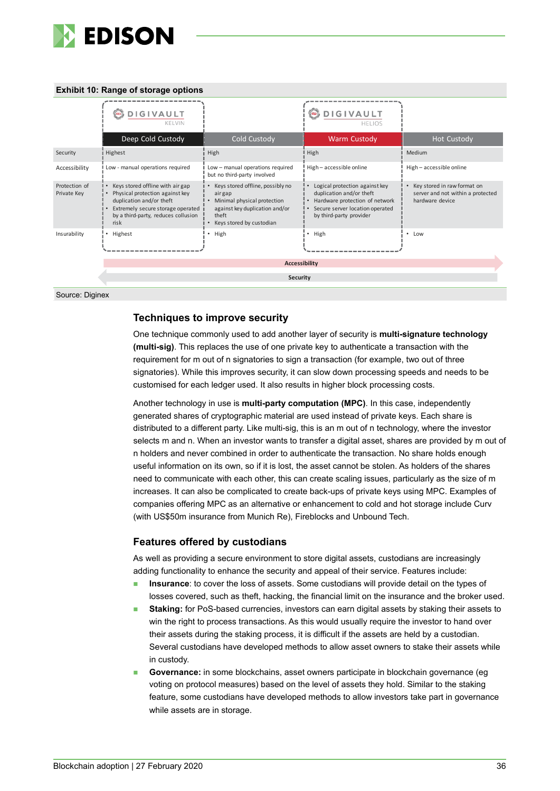

#### **Exhibit 10: Range of storage options**

|                              | DIGIVAULT<br>അ<br>KELVIN                                                                                                                                                            |                                                                                                                                                  | <b>DIGIVAULT</b><br>$\infty$<br><b>HELIOS</b>                                                                                                              |                                                                                     |  |  |
|------------------------------|-------------------------------------------------------------------------------------------------------------------------------------------------------------------------------------|--------------------------------------------------------------------------------------------------------------------------------------------------|------------------------------------------------------------------------------------------------------------------------------------------------------------|-------------------------------------------------------------------------------------|--|--|
|                              | Deep Cold Custody                                                                                                                                                                   | Cold Custody                                                                                                                                     | <b>Warm Custody</b>                                                                                                                                        | <b>Hot Custody</b>                                                                  |  |  |
| Security                     | Highest                                                                                                                                                                             | High                                                                                                                                             | High                                                                                                                                                       | Medium                                                                              |  |  |
| Accessibility                | Low - manual operations required                                                                                                                                                    | Low - manual operations required<br>but no third-party involved                                                                                  | High-accessible online                                                                                                                                     | High-accessible online                                                              |  |  |
| Protection of<br>Private Key | Keys stored offline with air gap<br>Physical protection against key<br>duplication and/or theft<br>Extremely secure storage operated<br>by a third-party, reduces collusion<br>risk | Keys stored offline, possibly no<br>airgap<br>Minimal physical protection<br>against key duplication and/or<br>theft<br>Keys stored by custodian | Logical protection against key<br>duplication and/or theft<br>Hardware protection of network<br>Secure server location operated<br>by third-party provider | Key stored in raw format on<br>server and not within a protected<br>hardware device |  |  |
| Insurability                 | • Highest                                                                                                                                                                           | High                                                                                                                                             | High                                                                                                                                                       | • Low                                                                               |  |  |
|                              | <b>Accessibility</b>                                                                                                                                                                |                                                                                                                                                  |                                                                                                                                                            |                                                                                     |  |  |
|                              | Security                                                                                                                                                                            |                                                                                                                                                  |                                                                                                                                                            |                                                                                     |  |  |
| Source: Diginex              |                                                                                                                                                                                     |                                                                                                                                                  |                                                                                                                                                            |                                                                                     |  |  |

#### **Techniques to improve security**

One technique commonly used to add another layer of security is **multi-signature technology (multi-sig)**. This replaces the use of one private key to authenticate a transaction with the requirement for m out of n signatories to sign a transaction (for example, two out of three signatories). While this improves security, it can slow down processing speeds and needs to be customised for each ledger used. It also results in higher block processing costs.

Another technology in use is **multi-party computation (MPC)**. In this case, independently generated shares of cryptographic material are used instead of private keys. Each share is distributed to a different party. Like multi-sig, this is an m out of n technology, where the investor selects m and n. When an investor wants to transfer a digital asset, shares are provided by m out of n holders and never combined in order to authenticate the transaction. No share holds enough useful information on its own, so if it is lost, the asset cannot be stolen. As holders of the shares need to communicate with each other, this can create scaling issues, particularly as the size of m increases. It can also be complicated to create back-ups of private keys using MPC. Examples of companies offering MPC as an alternative or enhancement to cold and hot storage include Curv (with US\$50m insurance from Munich Re), Fireblocks and Unbound Tech.

#### **Features offered by custodians**

As well as providing a secure environment to store digital assets, custodians are increasingly adding functionality to enhance the security and appeal of their service. Features include:

- **Insurance**: to cover the loss of assets. Some custodians will provide detail on the types of losses covered, such as theft, hacking, the financial limit on the insurance and the broker used.
- **Staking:** for PoS-based currencies, investors can earn digital assets by staking their assets to win the right to process transactions. As this would usually require the investor to hand over their assets during the staking process, it is difficult if the assets are held by a custodian. Several custodians have developed methods to allow asset owners to stake their assets while in custody.
- **Governance:** in some blockchains, asset owners participate in blockchain governance (eg voting on protocol measures) based on the level of assets they hold. Similar to the staking feature, some custodians have developed methods to allow investors take part in governance while assets are in storage.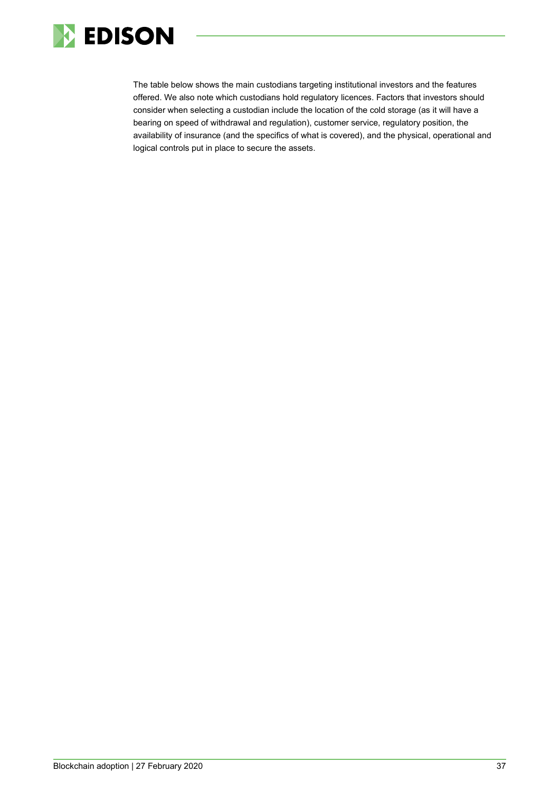

The table below shows the main custodians targeting institutional investors and the features offered. We also note which custodians hold regulatory licences. Factors that investors should consider when selecting a custodian include the location of the cold storage (as it will have a bearing on speed of withdrawal and regulation), customer service, regulatory position, the availability of insurance (and the specifics of what is covered), and the physical, operational and logical controls put in place to secure the assets.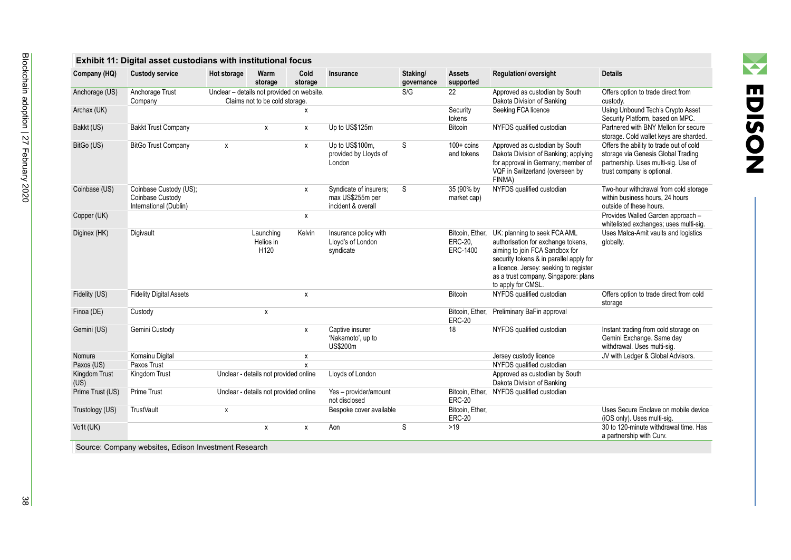| пп             |
|----------------|
| $\blacksquare$ |
| <u>ဟ</u>       |
| I              |
|                |

 $\sum_{i=1}^n a_i$ 

| Company (HQ)          | <b>Custody service</b>                                               | Hot storage                                | Warm<br>storage                            | Cold<br>storage | Insurance                                                        | Staking/<br>governance | <b>Assets</b><br>supported             | <b>Regulation/ oversight</b>                                                                                                                                                                                                                            | <b>Details</b>                                                                                                                                     |
|-----------------------|----------------------------------------------------------------------|--------------------------------------------|--------------------------------------------|-----------------|------------------------------------------------------------------|------------------------|----------------------------------------|---------------------------------------------------------------------------------------------------------------------------------------------------------------------------------------------------------------------------------------------------------|----------------------------------------------------------------------------------------------------------------------------------------------------|
| Anchorage (US)        | Anchorage Trust<br>Company                                           | Unclear - details not provided on website. | Claims not to be cold storage.             |                 |                                                                  | S/G                    | 22                                     | Approved as custodian by South<br>Dakota Division of Banking                                                                                                                                                                                            | Offers option to trade direct from<br>custody.                                                                                                     |
| Archax (UK)           |                                                                      |                                            |                                            | X               |                                                                  |                        | Security<br>tokens                     | Seeking FCA licence                                                                                                                                                                                                                                     | Using Unbound Tech's Crypto Asset<br>Security Platform, based on MPC.                                                                              |
| Bakkt (US)            | <b>Bakkt Trust Company</b>                                           |                                            | X                                          | x               | Up to US\$125m                                                   |                        | <b>Bitcoin</b>                         | NYFDS qualified custodian                                                                                                                                                                                                                               | Partnered with BNY Mellon for secure<br>storage. Cold wallet keys are sharded.                                                                     |
| BitGo (US)            | <b>BitGo Trust Company</b>                                           | x                                          |                                            | x               | Up to US\$100m.<br>provided by Lloyds of<br>London               | S                      | $100 + \text{coins}$<br>and tokens     | Approved as custodian by South<br>Dakota Division of Banking; applying<br>for approval in Germany; member of<br>VQF in Switzerland (overseen by<br>FINMA)                                                                                               | Offers the ability to trade out of cold<br>storage via Genesis Global Trading<br>partnership. Uses multi-sig. Use of<br>trust company is optional. |
| Coinbase (US)         | Coinbase Custody (US);<br>Coinbase Custody<br>International (Dublin) |                                            |                                            | X               | Syndicate of insurers;<br>max US\$255m per<br>incident & overall | S                      | 35 (90% by<br>market cap)              | NYFDS qualified custodian                                                                                                                                                                                                                               | Two-hour withdrawal from cold storage<br>within business hours, 24 hours<br>outside of these hours.                                                |
| Copper (UK)           |                                                                      |                                            |                                            | x               |                                                                  |                        |                                        |                                                                                                                                                                                                                                                         | Provides Walled Garden approach -<br>whitelisted exchanges; uses multi-sig.                                                                        |
| Diginex (HK)          | Digivault                                                            |                                            | Launching<br>Helios in<br>H <sub>120</sub> | Kelvin          | Insurance policy with<br>Lloyd's of London<br>syndicate          |                        | Bitcoin, Ether,<br>ERC-20,<br>ERC-1400 | UK: planning to seek FCA AML<br>authorisation for exchange tokens,<br>aiming to join FCA Sandbox for<br>security tokens & in parallel apply for<br>a licence. Jersey: seeking to register<br>as a trust company. Singapore: plans<br>to apply for CMSL. | Uses Malca-Amit vaults and logistics<br>globally.                                                                                                  |
| Fidelity (US)         | <b>Fidelity Digital Assets</b>                                       |                                            |                                            | X               |                                                                  |                        | <b>Bitcoin</b>                         | NYFDS qualified custodian                                                                                                                                                                                                                               | Offers option to trade direct from cold<br>storage                                                                                                 |
| Finoa (DE)            | Custody                                                              |                                            | x                                          |                 |                                                                  |                        | Bitcoin, Ether,<br><b>ERC-20</b>       | Preliminary BaFin approval                                                                                                                                                                                                                              |                                                                                                                                                    |
| Gemini (US)           | Gemini Custody                                                       |                                            |                                            | X               | Captive insurer<br>'Nakamoto', up to<br>US\$200m                 |                        | 18                                     | NYFDS qualified custodian                                                                                                                                                                                                                               | Instant trading from cold storage on<br>Gemini Exchange. Same day<br>withdrawal. Uses multi-sig.                                                   |
| Nomura                | Komainu Digital                                                      |                                            |                                            | х               |                                                                  |                        |                                        | Jersey custody licence                                                                                                                                                                                                                                  | JV with Ledger & Global Advisors.                                                                                                                  |
| Paxos (US)            | Paxos Trust                                                          |                                            |                                            | $\mathsf{x}$    |                                                                  |                        |                                        | NYFDS qualified custodian                                                                                                                                                                                                                               |                                                                                                                                                    |
| Kingdom Trust<br>(US) | Kingdom Trust                                                        |                                            | Unclear - details not provided online      |                 | Lloyds of London                                                 |                        |                                        | Approved as custodian by South<br>Dakota Division of Banking                                                                                                                                                                                            |                                                                                                                                                    |
| Prime Trust (US)      | Prime Trust                                                          |                                            | Unclear - details not provided online      |                 | Yes - provider/amount<br>not disclosed                           |                        | <b>ERC-20</b>                          | Bitcoin, Ether, NYFDS qualified custodian                                                                                                                                                                                                               |                                                                                                                                                    |
| Trustology (US)       | <b>TrustVault</b>                                                    | X                                          |                                            |                 | Bespoke cover available                                          |                        | Bitcoin, Ether,<br><b>ERC-20</b>       |                                                                                                                                                                                                                                                         | Uses Secure Enclave on mobile device<br>(iOS only). Uses multi-sig.                                                                                |
| Vo1t (UK)             |                                                                      |                                            | X                                          | x               | Aon                                                              | S                      | $>19$                                  |                                                                                                                                                                                                                                                         | 30 to 120-minute withdrawal time. Has<br>a partnership with Curv.                                                                                  |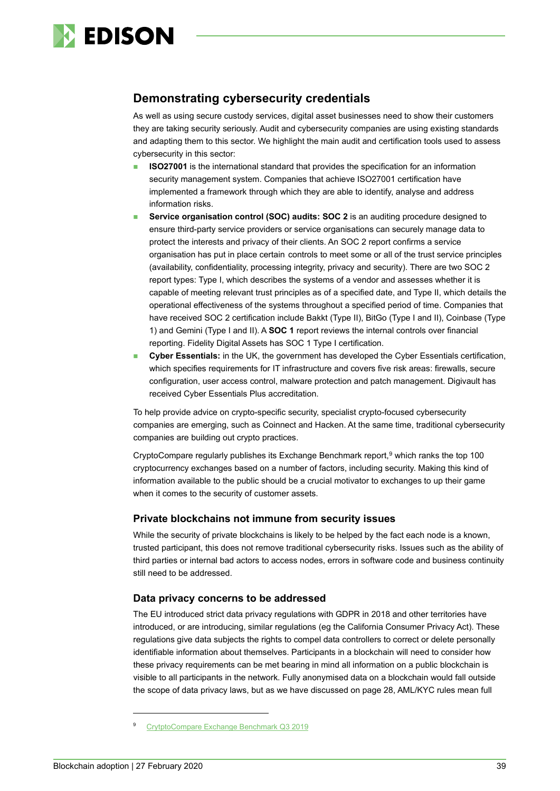

# **Demonstrating cybersecurity credentials**

As well as using secure custody services, digital asset businesses need to show their customers they are taking security seriously. Audit and cybersecurity companies are using existing standards and adapting them to this sector. We highlight the main audit and certification tools used to assess cybersecurity in this sector:

- **ISO27001** is the international standard that provides the specification for an [information](https://www.itgovernance.co.uk/isms-benefits)  [security management system.](https://www.itgovernance.co.uk/isms-benefits) Companies that achieve ISO27001 certification have implemented a framework through which they are able to identify, analyse and address information risks.
- **Service organisation control (SOC) audits: SOC 2** is an auditing procedure designed to ensure third-party service providers or service organisations can securely manage data to protect the interests and privacy of their clients. An SOC 2 report confirms a service organisation has put in place certain controls to meet some or all of the trust service principles (availability, confidentiality, processing integrity, privacy and security). There are two SOC 2 report types: Type I, which describes the systems of a vendor and assesses whether it is capable of meeting relevant trust principles as of a specified date, and Type II, which details the operational effectiveness of the systems throughout a specified period of time. Companies that have received SOC 2 certification include Bakkt (Type II), BitGo (Type I and II), Coinbase (Type 1) and Gemini (Type I and II). A **SOC 1** report reviews the internal controls over financial reporting. Fidelity Digital Assets has SOC 1 Type I certification.
- **Cyber Essentials:** in the UK, the government has developed the Cyber Essentials certification, which specifies requirements for IT infrastructure and covers five risk areas: firewalls, secure configuration, user access control, malware protection and patch management. Digivault has received Cyber Essentials Plus accreditation.

To help provide advice on crypto-specific security, specialist crypto-focused cybersecurity companies are emerging, such as Coinnect and Hacken. At the same time, traditional cybersecurity companies are building out crypto practices.

CryptoCompare regularly publishes its Exchange Benchmark report, [9](#page-38-0) which ranks the top 100 cryptocurrency exchanges based on a number of factors, including security. Making this kind of information available to the public should be a crucial motivator to exchanges to up their game when it comes to the security of customer assets.

#### **Private blockchains not immune from security issues**

While the security of private blockchains is likely to be helped by the fact each node is a known, trusted participant, this does not remove traditional cybersecurity risks. Issues such as the ability of third parties or internal bad actors to access nodes, errors in software code and business continuity still need to be addressed.

#### **Data privacy concerns to be addressed**

The EU introduced strict data privacy regulations with GDPR in 2018 and other territories have introduced, or are introducing, similar regulations (eg the California Consumer Privacy Act). These regulations give data subjects the rights to compel data controllers to correct or delete personally identifiable information about themselves. Participants in a blockchain will need to consider how these privacy requirements can be met bearing in mind all information on a public blockchain is visible to all participants in the network. Fully anonymised data on a blockchain would fall outside the scope of data privacy laws, but as we have discussed on page 28, AML/KYC rules mean full

<span id="page-38-0"></span><sup>9</sup> [CrytptoCompare Exchange Benchmark Q3 2019](https://www.cryptocompare.com/external/research/exchange-ranking/)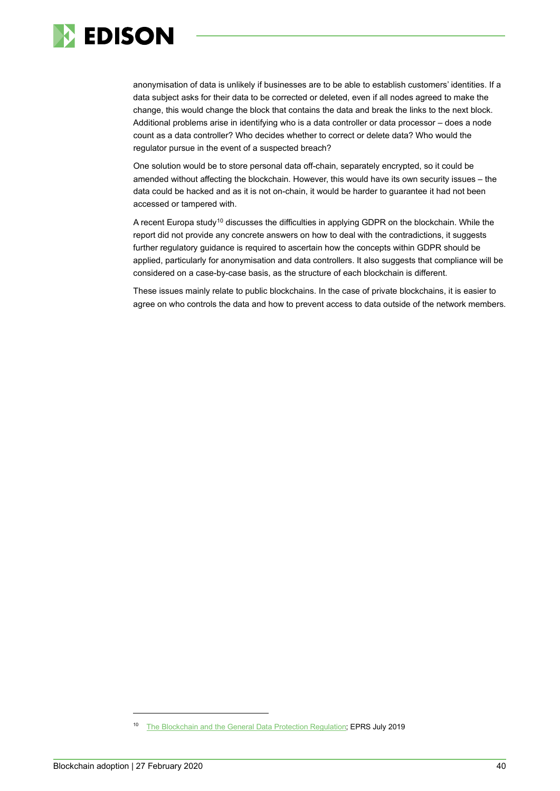

anonymisation of data is unlikely if businesses are to be able to establish customers' identities. If a data subject asks for their data to be corrected or deleted, even if all nodes agreed to make the change, this would change the block that contains the data and break the links to the next block. Additional problems arise in identifying who is a data controller or data processor – does a node count as a data controller? Who decides whether to correct or delete data? Who would the regulator pursue in the event of a suspected breach?

One solution would be to store personal data off-chain, separately encrypted, so it could be amended without affecting the blockchain. However, this would have its own security issues – the data could be hacked and as it is not on-chain, it would be harder to guarantee it had not been accessed or tampered with.

A recent Europa study<sup>[10](#page-39-0)</sup> discusses the difficulties in applying GDPR on the blockchain. While the report did not provide any concrete answers on how to deal with the contradictions, it suggests further regulatory guidance is required to ascertain how the concepts within GDPR should be applied, particularly for anonymisation and data controllers. It also suggests that compliance will be considered on a case-by-case basis, as the structure of each blockchain is different.

These issues mainly relate to public blockchains. In the case of private blockchains, it is easier to agree on who controls the data and how to prevent access to data outside of the network members.

<span id="page-39-0"></span><sup>&</sup>lt;sup>10</sup> [The Blockchain and the General Data Protection Regulation;](https://www.europarl.europa.eu/RegData/etudes/STUD/2019/634445/EPRS_STU(2019)634445_EN.pdf) EPRS July 2019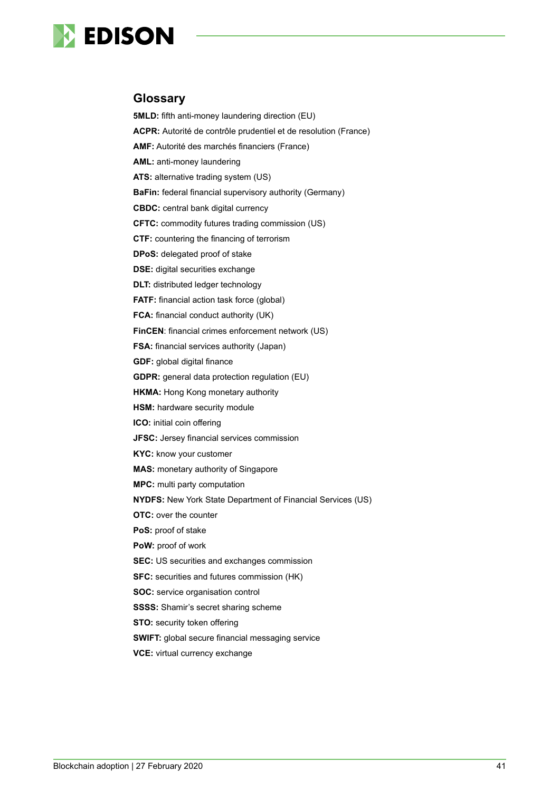

### <span id="page-40-0"></span>**Glossary**

**5MLD:** fifth anti-money laundering direction (EU) **ACPR:** Autorité de contrôle prudentiel et de resolution (France) **AMF:** Autorité des marchés financiers (France) **AML:** anti-money laundering **ATS:** alternative trading system (US) **BaFin:** federal financial supervisory authority (Germany) **CBDC:** central bank digital currency **CFTC:** commodity futures trading commission (US) **CTF:** countering the financing of terrorism **DPoS:** delegated proof of stake **DSE:** digital securities exchange **DLT:** distributed ledger technology **FATF:** financial action task force (global) **FCA:** financial conduct authority (UK) **FinCEN**: financial crimes enforcement network (US) **FSA:** financial services authority (Japan) **GDF:** global digital finance **GDPR:** general data protection regulation (EU) **HKMA:** Hong Kong monetary authority **HSM:** hardware security module **ICO:** initial coin offering **JFSC:** Jersey financial services commission **KYC:** know your customer **MAS:** monetary authority of Singapore **MPC:** multi party computation **NYDFS:** New York State Department of Financial Services (US) **OTC:** over the counter **PoS:** proof of stake **PoW:** proof of work **SEC:** US securities and exchanges commission **SFC:** securities and futures commission (HK) **SOC:** service organisation control **SSSS:** Shamir's secret sharing scheme **STO:** security token offering **SWIFT:** global secure financial messaging service

**VCE:** virtual currency exchange